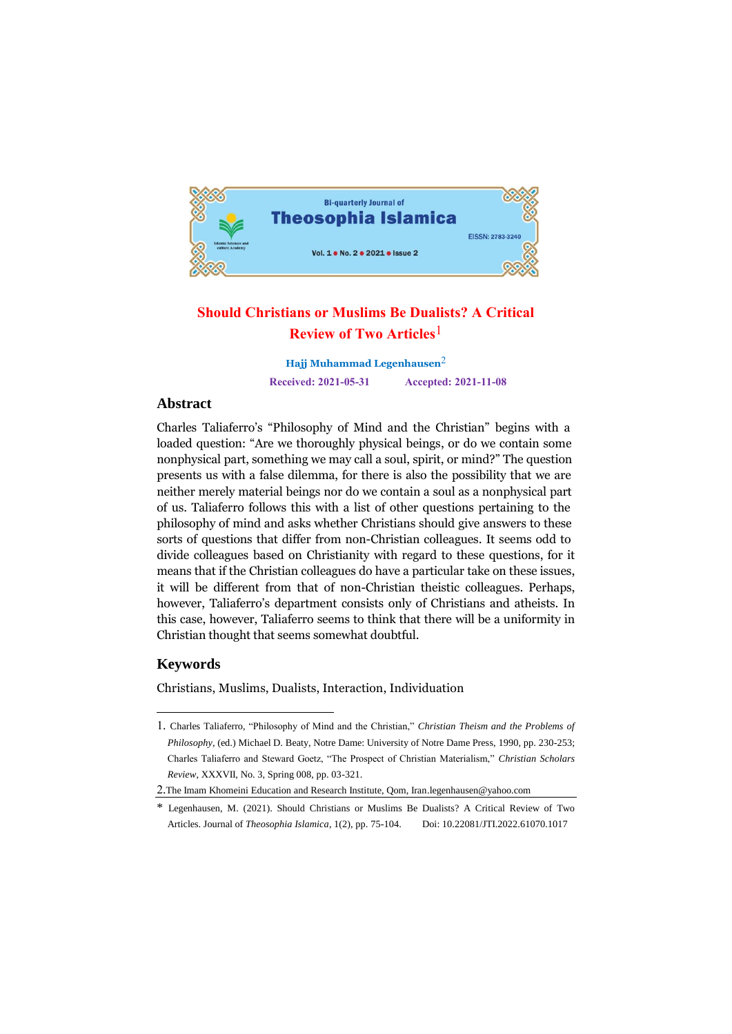

# **Should Christians or Muslims Be Dualists? A Critical Review of Two Articles**1

**Hajj Muhammad Legenhausen**2 **Received: 2021-05-31 Accepted: 2021-11-08**

## **Abstract**

Charles Taliaferro's "Philosophy of Mind and the Christian" begins with a loaded question: "Are we thoroughly physical beings, or do we contain some nonphysical part, something we may call a soul, spirit, or mind?" The question presents us with a false dilemma, for there is also the possibility that we are neither merely material beings nor do we contain a soul as a nonphysical part of us. Taliaferro follows this with a list of other questions pertaining to the philosophy of mind and asks whether Christians should give answers to these sorts of questions that differ from non-Christian colleagues. It seems odd to divide colleagues based on Christianity with regard to these questions, for it means that if the Christian colleagues do have a particular take on these issues, it will be different from that of non-Christian theistic colleagues. Perhaps, however, Taliaferro's department consists only of Christians and atheists. In this case, however, Taliaferro seems to think that there will be a uniformity in Christian thought that seems somewhat doubtful.

## **Keywords**

<u>.</u>

Christians, Muslims, Dualists, Interaction, Individuation

<sup>1.</sup> Charles Taliaferro, "Philosophy of Mind and the Christian," *Christian Theism and the Problems of Philosophy*, (ed.) Michael D. Beaty, Notre Dame: University of Notre Dame Press, 1990, pp. 230-253; Charles Taliaferro and Steward Goetz, "The Prospect of Christian Materialism," *Christian Scholars Review*, XXXVII, No. 3, Spring 008, pp. 03-321.

<sup>2.</sup>The Imam Khomeini Education and Research Institute, Qom, Iran.legenhausen@yahoo.com

<sup>\*</sup> Legenhausen, M. (2021). Should Christians or Muslims Be Dualists? A Critical Review of Two Articles. Journal of *Theosophia Islamica*, 1(2), pp. 75-104. Doi: 10.22081/JTI.2022.61070.1017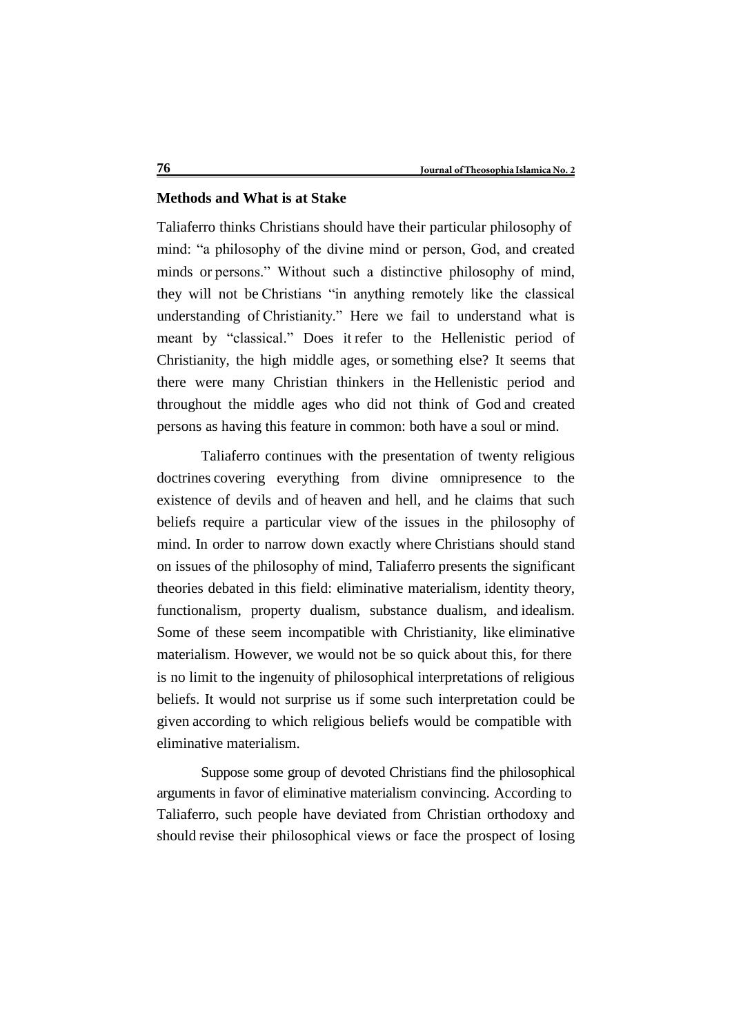## **Methods and What is at Stake**

Taliaferro thinks Christians should have their particular philosophy of mind: "a philosophy of the divine mind or person, God, and created minds or persons." Without such a distinctive philosophy of mind, they will not be Christians "in anything remotely like the classical understanding of Christianity." Here we fail to understand what is meant by "classical." Does it refer to the Hellenistic period of Christianity, the high middle ages, or something else? It seems that there were many Christian thinkers in the Hellenistic period and throughout the middle ages who did not think of God and created persons as having this feature in common: both have a soul or mind.

Taliaferro continues with the presentation of twenty religious doctrines covering everything from divine omnipresence to the existence of devils and of heaven and hell, and he claims that such beliefs require a particular view of the issues in the philosophy of mind. In order to narrow down exactly where Christians should stand on issues of the philosophy of mind, Taliaferro presents the significant theories debated in this field: eliminative materialism, identity theory, functionalism, property dualism, substance dualism, and idealism. Some of these seem incompatible with Christianity, like eliminative materialism. However, we would not be so quick about this, for there is no limit to the ingenuity of philosophical interpretations of religious beliefs. It would not surprise us if some such interpretation could be given according to which religious beliefs would be compatible with eliminative materialism.

Suppose some group of devoted Christians find the philosophical arguments in favor of eliminative materialism convincing. According to Taliaferro, such people have deviated from Christian orthodoxy and should revise their philosophical views or face the prospect of losing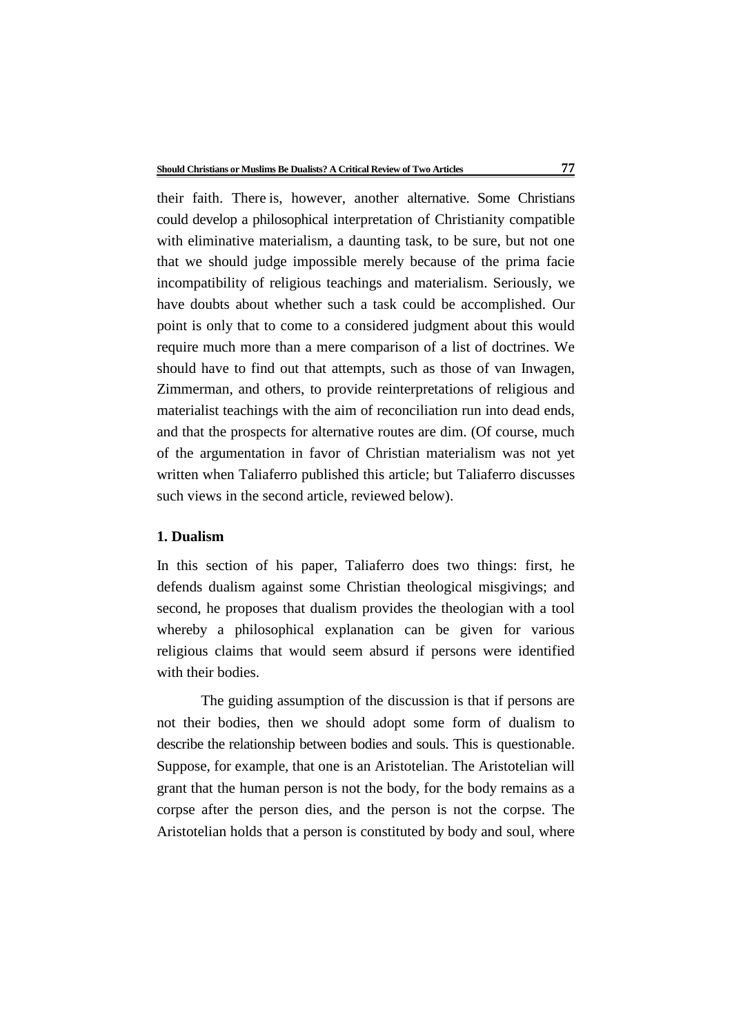their faith. There is, however, another alternative. Some Christians could develop a philosophical interpretation of Christianity compatible with eliminative materialism, a daunting task, to be sure, but not one that we should judge impossible merely because of the prima facie incompatibility of religious teachings and materialism. Seriously, we have doubts about whether such a task could be accomplished. Our point is only that to come to a considered judgment about this would require much more than a mere comparison of a list of doctrines. We should have to find out that attempts, such as those of van Inwagen, Zimmerman, and others, to provide reinterpretations of religious and materialist teachings with the aim of reconciliation run into dead ends, and that the prospects for alternative routes are dim. (Of course, much of the argumentation in favor of Christian materialism was not yet written when Taliaferro published this article; but Taliaferro discusses such views in the second article, reviewed below).

## **1. Dualism**

In this section of his paper, Taliaferro does two things: first, he defends dualism against some Christian theological misgivings; and second, he proposes that dualism provides the theologian with a tool whereby a philosophical explanation can be given for various religious claims that would seem absurd if persons were identified with their bodies.

The guiding assumption of the discussion is that if persons are not their bodies, then we should adopt some form of dualism to describe the relationship between bodies and souls. This is questionable. Suppose, for example, that one is an Aristotelian. The Aristotelian will grant that the human person is not the body, for the body remains as a corpse after the person dies, and the person is not the corpse. The Aristotelian holds that a person is constituted by body and soul, where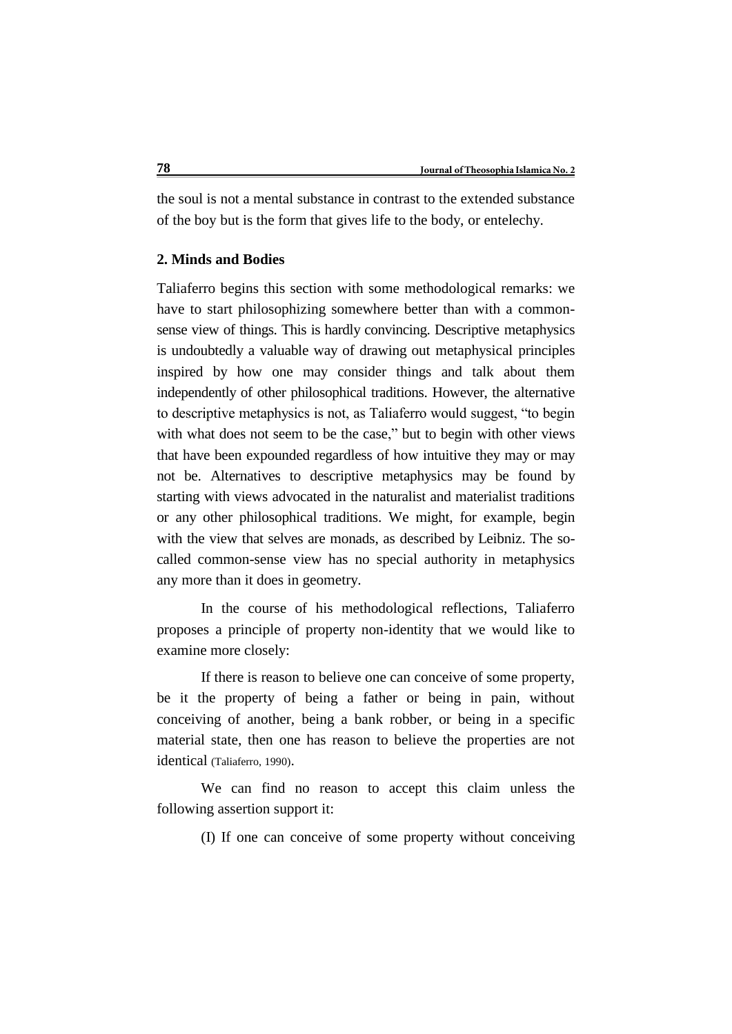the soul is not a mental substance in contrast to the extended substance of the boy but is the form that gives life to the body, or entelechy.

## **2. Minds and Bodies**

Taliaferro begins this section with some methodological remarks: we have to start philosophizing somewhere better than with a commonsense view of things. This is hardly convincing. Descriptive metaphysics is undoubtedly a valuable way of drawing out metaphysical principles inspired by how one may consider things and talk about them independently of other philosophical traditions. However, the alternative to descriptive metaphysics is not, as Taliaferro would suggest, "to begin with what does not seem to be the case," but to begin with other views that have been expounded regardless of how intuitive they may or may not be. Alternatives to descriptive metaphysics may be found by starting with views advocated in the naturalist and materialist traditions or any other philosophical traditions. We might, for example, begin with the view that selves are monads, as described by Leibniz. The socalled common-sense view has no special authority in metaphysics any more than it does in geometry.

In the course of his methodological reflections, Taliaferro proposes a principle of property non-identity that we would like to examine more closely:

If there is reason to believe one can conceive of some property, be it the property of being a father or being in pain, without conceiving of another, being a bank robber, or being in a specific material state, then one has reason to believe the properties are not identical (Taliaferro, 1990).

We can find no reason to accept this claim unless the following assertion support it:

(I) If one can conceive of some property without conceiving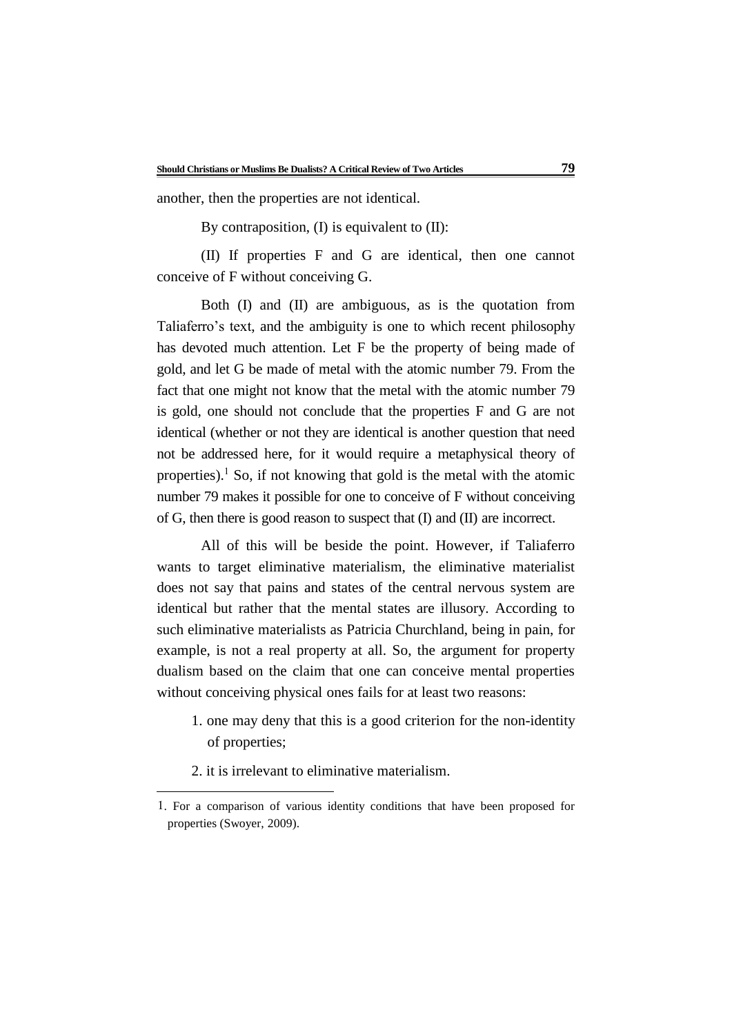another, then the properties are not identical.

By contraposition,  $(I)$  is equivalent to  $(II)$ :

(II) If properties F and G are identical, then one cannot conceive of F without conceiving G.

Both (I) and (II) are ambiguous, as is the quotation from Taliaferro's text, and the ambiguity is one to which recent philosophy has devoted much attention. Let F be the property of being made of gold, and let G be made of metal with the atomic number 79. From the fact that one might not know that the metal with the atomic number 79 is gold, one should not conclude that the properties F and G are not identical (whether or not they are identical is another question that need not be addressed here, for it would require a metaphysical theory of properties).<sup>1</sup> So, if not knowing that gold is the metal with the atomic number 79 makes it possible for one to conceive of F without conceiving of G, then there is good reason to suspect that (I) and (II) are incorrect.

All of this will be beside the point. However, if Taliaferro wants to target eliminative materialism, the eliminative materialist does not say that pains and states of the central nervous system are identical but rather that the mental states are illusory. According to such eliminative materialists as Patricia Churchland, being in pain, for example, is not a real property at all. So, the argument for property dualism based on the claim that one can conceive mental properties without conceiving physical ones fails for at least two reasons:

- 1. one may deny that this is a good criterion for the non-identity of properties;
- 2. it is irrelevant to eliminative materialism.

1

<sup>1</sup>. For a comparison of various identity conditions that have been proposed for properties (Swoyer, 2009).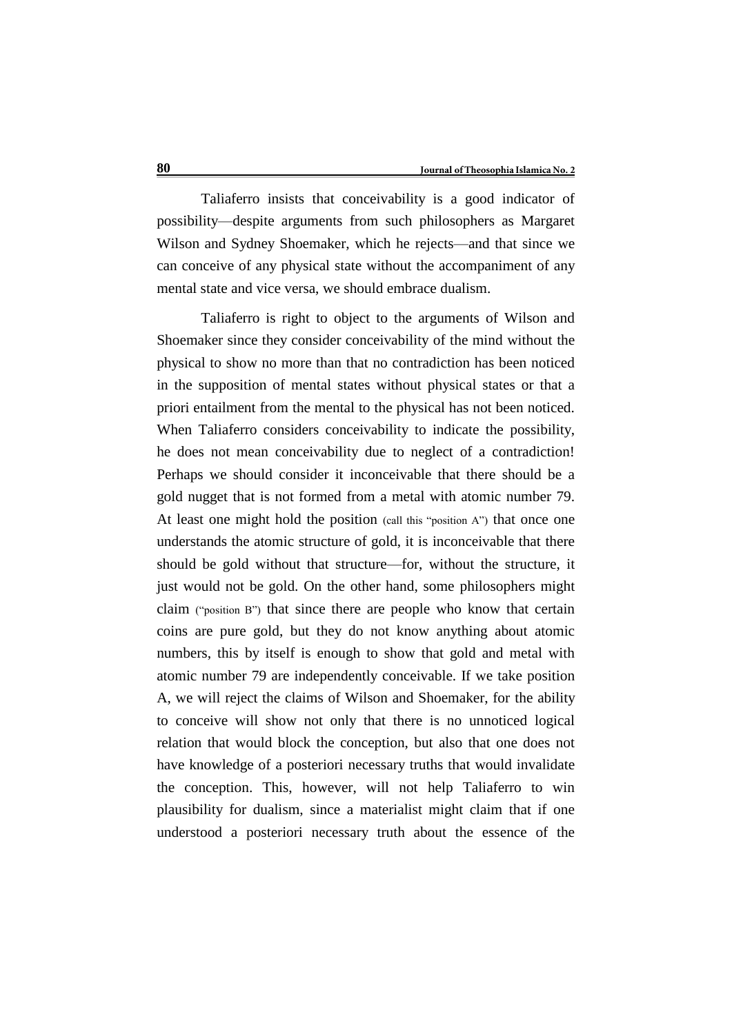Taliaferro insists that conceivability is a good indicator of possibility—despite arguments from such philosophers as Margaret Wilson and Sydney Shoemaker, which he rejects—and that since we can conceive of any physical state without the accompaniment of any mental state and vice versa, we should embrace dualism.

Taliaferro is right to object to the arguments of Wilson and Shoemaker since they consider conceivability of the mind without the physical to show no more than that no contradiction has been noticed in the supposition of mental states without physical states or that a priori entailment from the mental to the physical has not been noticed. When Taliaferro considers conceivability to indicate the possibility, he does not mean conceivability due to neglect of a contradiction! Perhaps we should consider it inconceivable that there should be a gold nugget that is not formed from a metal with atomic number 79. At least one might hold the position (call this "position A") that once one understands the atomic structure of gold, it is inconceivable that there should be gold without that structure—for, without the structure, it just would not be gold. On the other hand, some philosophers might claim ("position B") that since there are people who know that certain coins are pure gold, but they do not know anything about atomic numbers, this by itself is enough to show that gold and metal with atomic number 79 are independently conceivable. If we take position A, we will reject the claims of Wilson and Shoemaker, for the ability to conceive will show not only that there is no unnoticed logical relation that would block the conception, but also that one does not have knowledge of a posteriori necessary truths that would invalidate the conception. This, however, will not help Taliaferro to win plausibility for dualism, since a materialist might claim that if one understood a posteriori necessary truth about the essence of the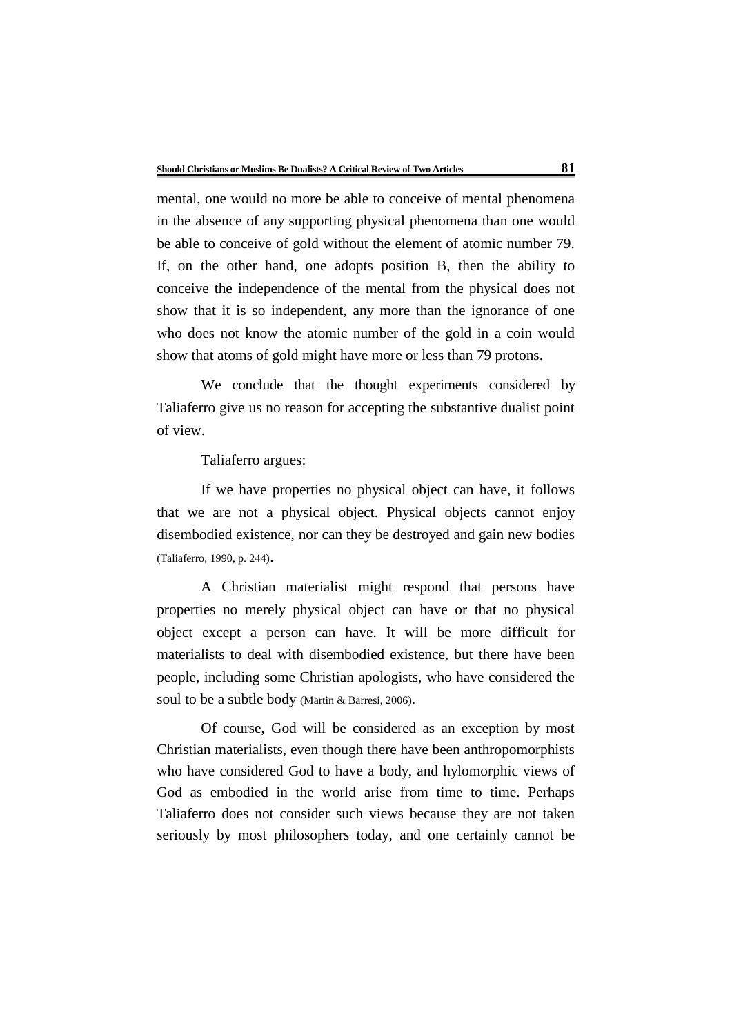mental, one would no more be able to conceive of mental phenomena in the absence of any supporting physical phenomena than one would be able to conceive of gold without the element of atomic number 79. If, on the other hand, one adopts position B, then the ability to conceive the independence of the mental from the physical does not show that it is so independent, any more than the ignorance of one who does not know the atomic number of the gold in a coin would show that atoms of gold might have more or less than 79 protons.

We conclude that the thought experiments considered by Taliaferro give us no reason for accepting the substantive dualist point of view.

Taliaferro argues:

If we have properties no physical object can have, it follows that we are not a physical object. Physical objects cannot enjoy disembodied existence, nor can they be destroyed and gain new bodies (Taliaferro, 1990, p. 244).

A Christian materialist might respond that persons have properties no merely physical object can have or that no physical object except a person can have. It will be more difficult for materialists to deal with disembodied existence, but there have been people, including some Christian apologists, who have considered the soul to be a subtle body (Martin & Barresi, 2006).

Of course, God will be considered as an exception by most Christian materialists, even though there have been anthropomorphists who have considered God to have a body, and hylomorphic views of God as embodied in the world arise from time to time. Perhaps Taliaferro does not consider such views because they are not taken seriously by most philosophers today, and one certainly cannot be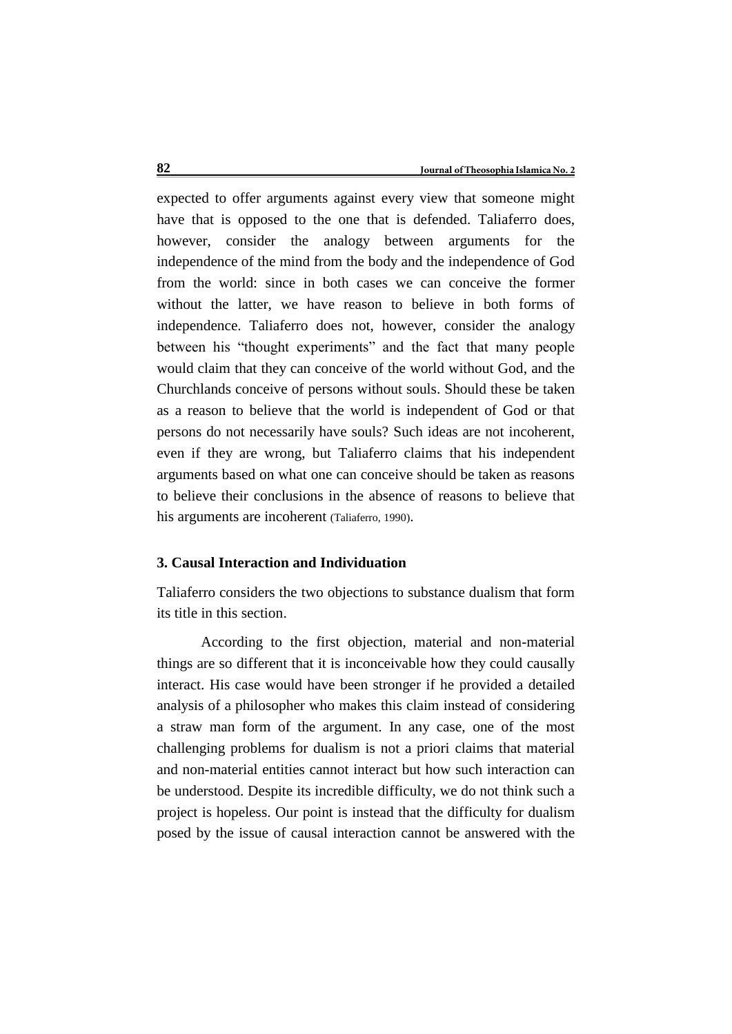expected to offer arguments against every view that someone might have that is opposed to the one that is defended. Taliaferro does, however, consider the analogy between arguments for the independence of the mind from the body and the independence of God from the world: since in both cases we can conceive the former without the latter, we have reason to believe in both forms of independence. Taliaferro does not, however, consider the analogy between his "thought experiments" and the fact that many people would claim that they can conceive of the world without God, and the Churchlands conceive of persons without souls. Should these be taken as a reason to believe that the world is independent of God or that persons do not necessarily have souls? Such ideas are not incoherent, even if they are wrong, but Taliaferro claims that his independent arguments based on what one can conceive should be taken as reasons to believe their conclusions in the absence of reasons to believe that his arguments are incoherent (Taliaferro, 1990).

## **3. Causal Interaction and Individuation**

Taliaferro considers the two objections to substance dualism that form its title in this section.

According to the first objection, material and non-material things are so different that it is inconceivable how they could causally interact. His case would have been stronger if he provided a detailed analysis of a philosopher who makes this claim instead of considering a straw man form of the argument. In any case, one of the most challenging problems for dualism is not a priori claims that material and non-material entities cannot interact but how such interaction can be understood. Despite its incredible difficulty, we do not think such a project is hopeless. Our point is instead that the difficulty for dualism posed by the issue of causal interaction cannot be answered with the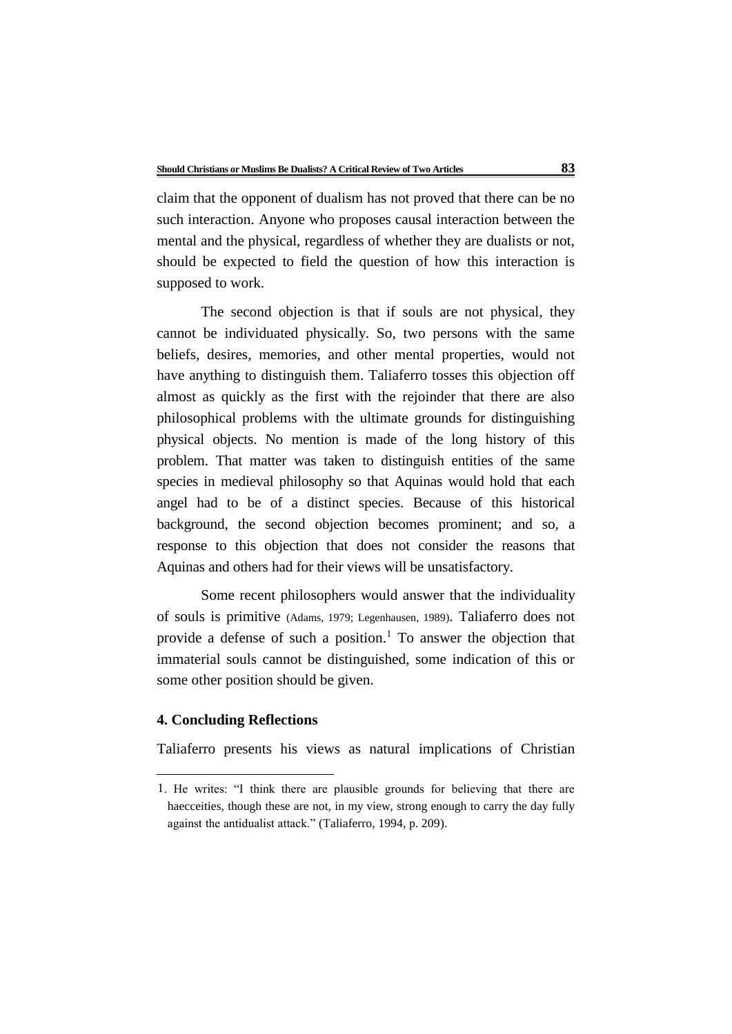claim that the opponent of dualism has not proved that there can be no such interaction. Anyone who proposes causal interaction between the mental and the physical, regardless of whether they are dualists or not, should be expected to field the question of how this interaction is supposed to work.

The second objection is that if souls are not physical, they cannot be individuated physically. So, two persons with the same beliefs, desires, memories, and other mental properties, would not have anything to distinguish them. Taliaferro tosses this objection off almost as quickly as the first with the rejoinder that there are also philosophical problems with the ultimate grounds for distinguishing physical objects. No mention is made of the long history of this problem. That matter was taken to distinguish entities of the same species in medieval philosophy so that Aquinas would hold that each angel had to be of a distinct species. Because of this historical background, the second objection becomes prominent; and so, a response to this objection that does not consider the reasons that Aquinas and others had for their views will be unsatisfactory.

Some recent philosophers would answer that the individuality of souls is primitive (Adams, 1979; Legenhausen, 1989). Taliaferro does not provide a defense of such a position.<sup>1</sup> To answer the objection that immaterial souls cannot be distinguished, some indication of this or some other position should be given.

#### **4. Concluding Reflections**

<u>.</u>

Taliaferro presents his views as natural implications of Christian

<sup>1</sup>. He writes: "I think there are plausible grounds for believing that there are haecceities, though these are not, in my view, strong enough to carry the day fully against the antidualist attack." (Taliaferro, 1994, p. 209).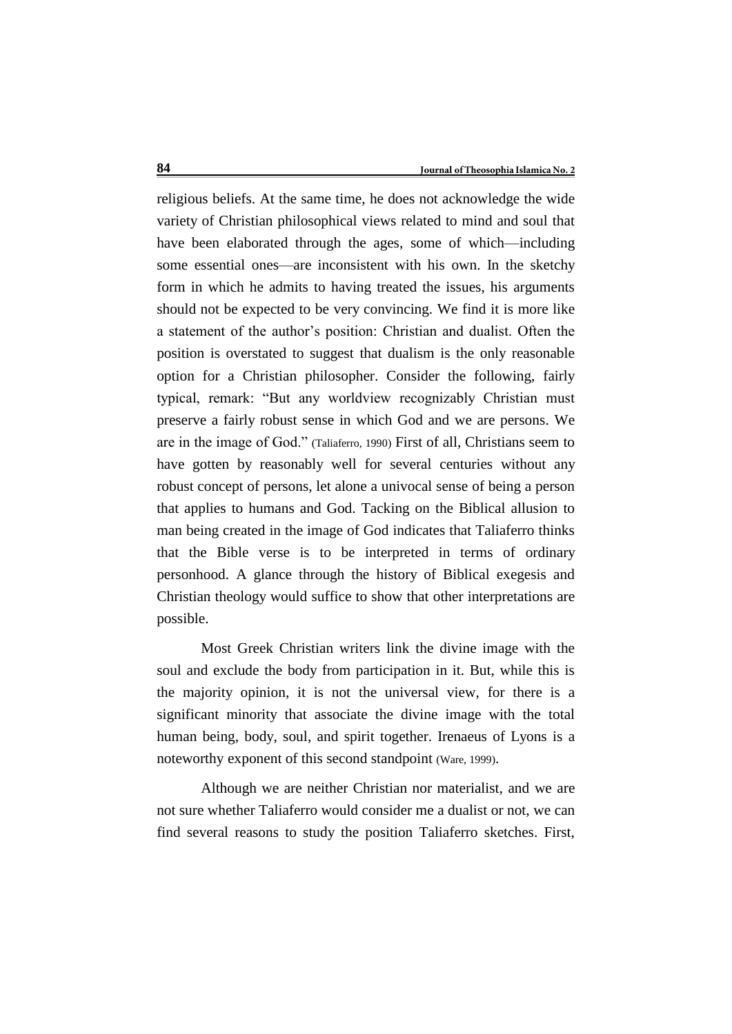religious beliefs. At the same time, he does not acknowledge the wide variety of Christian philosophical views related to mind and soul that have been elaborated through the ages, some of which—including some essential ones—are inconsistent with his own. In the sketchy form in which he admits to having treated the issues, his arguments should not be expected to be very convincing. We find it is more like a statement of the author's position: Christian and dualist. Often the position is overstated to suggest that dualism is the only reasonable option for a Christian philosopher. Consider the following, fairly typical, remark: "But any worldview recognizably Christian must preserve a fairly robust sense in which God and we are persons. We are in the image of God." (Taliaferro, 1990) First of all, Christians seem to have gotten by reasonably well for several centuries without any robust concept of persons, let alone a univocal sense of being a person that applies to humans and God. Tacking on the Biblical allusion to man being created in the image of God indicates that Taliaferro thinks that the Bible verse is to be interpreted in terms of ordinary personhood. A glance through the history of Biblical exegesis and Christian theology would suffice to show that other interpretations are possible.

Most Greek Christian writers link the divine image with the soul and exclude the body from participation in it. But, while this is the majority opinion, it is not the universal view, for there is a significant minority that associate the divine image with the total human being, body, soul, and spirit together. Irenaeus of Lyons is a noteworthy exponent of this second standpoint (Ware, 1999).

Although we are neither Christian nor materialist, and we are not sure whether Taliaferro would consider me a dualist or not, we can find several reasons to study the position Taliaferro sketches. First,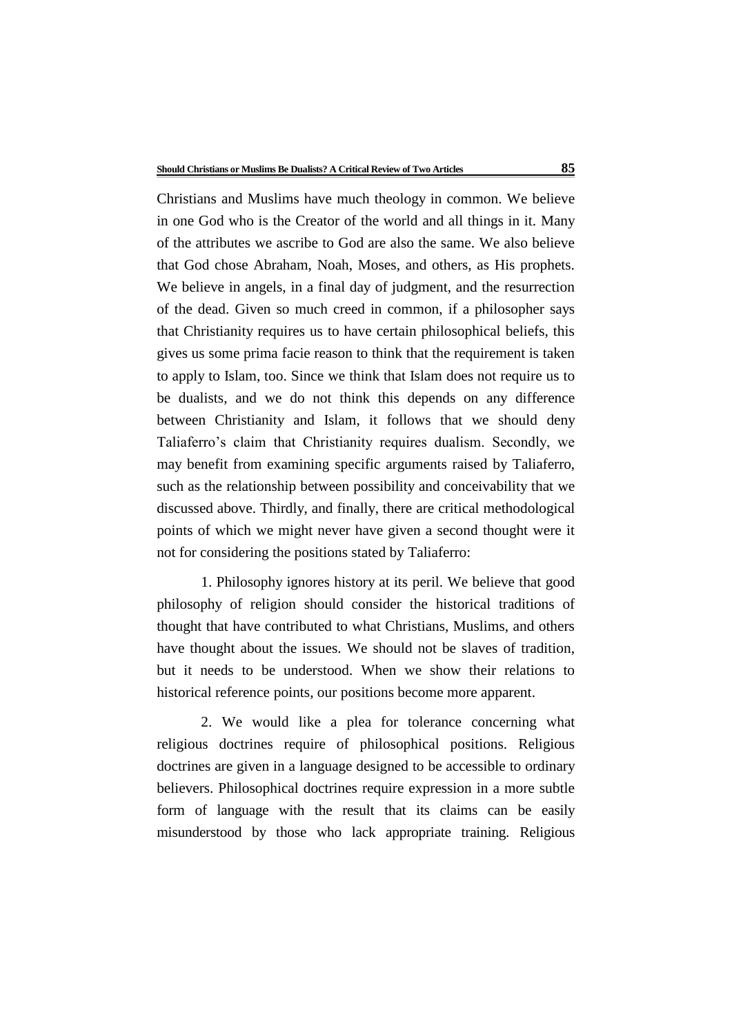Christians and Muslims have much theology in common. We believe in one God who is the Creator of the world and all things in it. Many of the attributes we ascribe to God are also the same. We also believe that God chose Abraham, Noah, Moses, and others, as His prophets. We believe in angels, in a final day of judgment, and the resurrection of the dead. Given so much creed in common, if a philosopher says that Christianity requires us to have certain philosophical beliefs, this gives us some prima facie reason to think that the requirement is taken to apply to Islam, too. Since we think that Islam does not require us to be dualists, and we do not think this depends on any difference between Christianity and Islam, it follows that we should deny Taliaferro's claim that Christianity requires dualism. Secondly, we may benefit from examining specific arguments raised by Taliaferro, such as the relationship between possibility and conceivability that we discussed above. Thirdly, and finally, there are critical methodological points of which we might never have given a second thought were it not for considering the positions stated by Taliaferro:

1. Philosophy ignores history at its peril. We believe that good philosophy of religion should consider the historical traditions of thought that have contributed to what Christians, Muslims, and others have thought about the issues. We should not be slaves of tradition, but it needs to be understood. When we show their relations to historical reference points, our positions become more apparent.

2. We would like a plea for tolerance concerning what religious doctrines require of philosophical positions. Religious doctrines are given in a language designed to be accessible to ordinary believers. Philosophical doctrines require expression in a more subtle form of language with the result that its claims can be easily misunderstood by those who lack appropriate training. Religious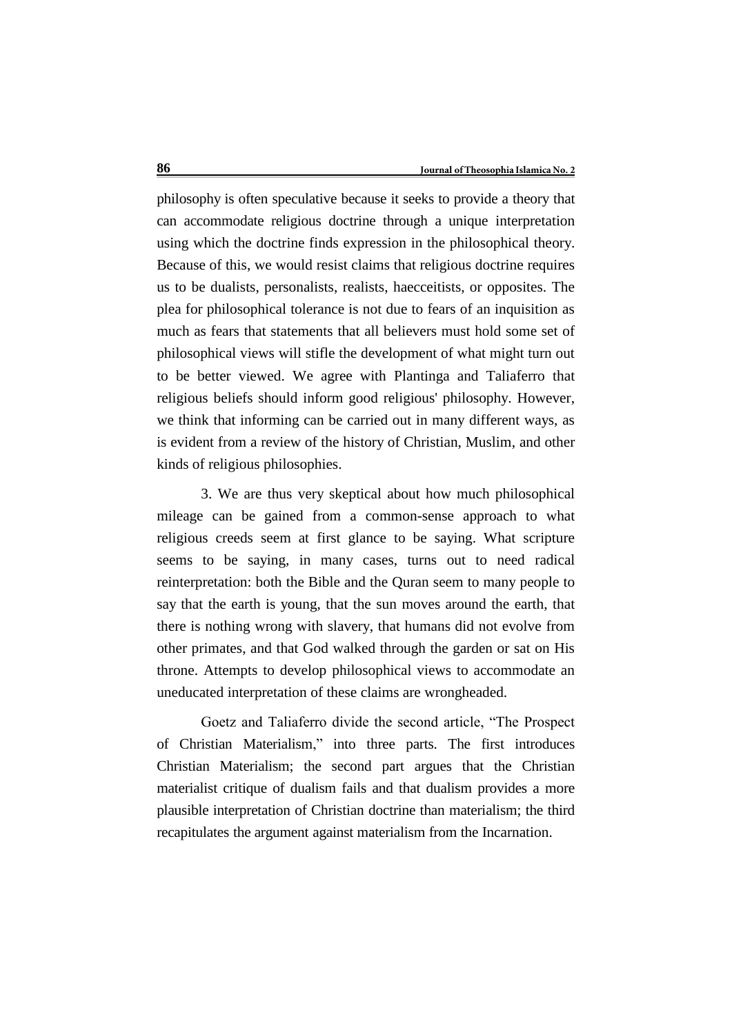philosophy is often speculative because it seeks to provide a theory that can accommodate religious doctrine through a unique interpretation using which the doctrine finds expression in the philosophical theory. Because of this, we would resist claims that religious doctrine requires us to be dualists, personalists, realists, haecceitists, or opposites. The plea for philosophical tolerance is not due to fears of an inquisition as much as fears that statements that all believers must hold some set of philosophical views will stifle the development of what might turn out to be better viewed. We agree with Plantinga and Taliaferro that religious beliefs should inform good religious' philosophy. However, we think that informing can be carried out in many different ways, as is evident from a review of the history of Christian, Muslim, and other kinds of religious philosophies.

3. We are thus very skeptical about how much philosophical mileage can be gained from a common-sense approach to what religious creeds seem at first glance to be saying. What scripture seems to be saying, in many cases, turns out to need radical reinterpretation: both the Bible and the Quran seem to many people to say that the earth is young, that the sun moves around the earth, that there is nothing wrong with slavery, that humans did not evolve from other primates, and that God walked through the garden or sat on His throne. Attempts to develop philosophical views to accommodate an uneducated interpretation of these claims are wrongheaded.

Goetz and Taliaferro divide the second article, "The Prospect of Christian Materialism," into three parts. The first introduces Christian Materialism; the second part argues that the Christian materialist critique of dualism fails and that dualism provides a more plausible interpretation of Christian doctrine than materialism; the third recapitulates the argument against materialism from the Incarnation.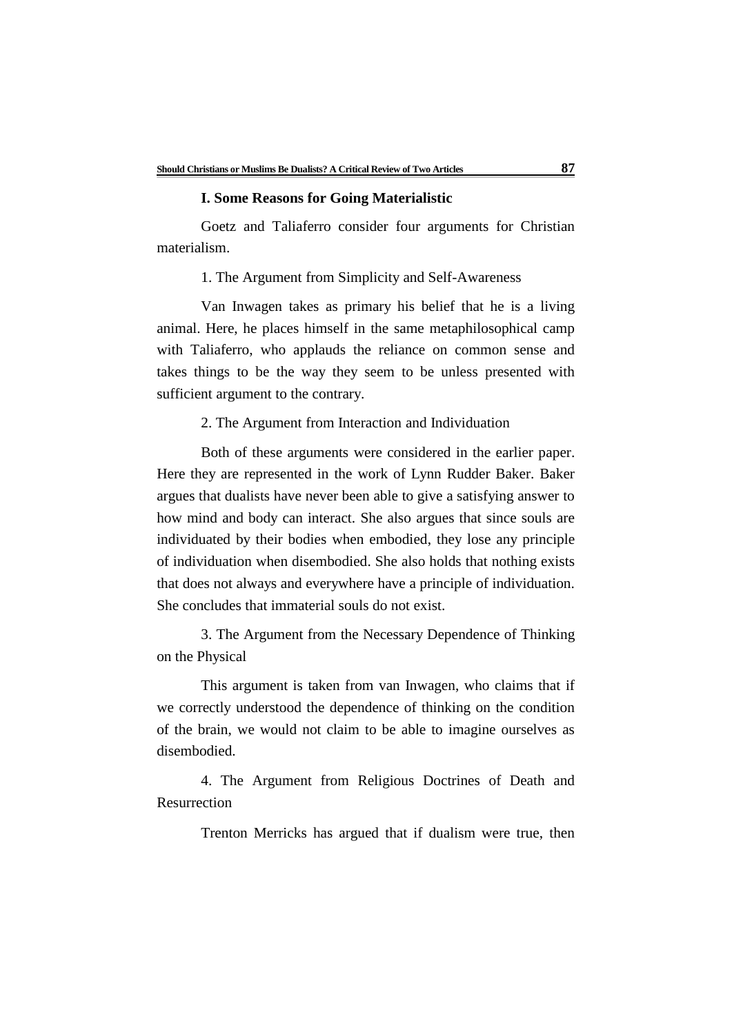### **I. Some Reasons for Going Materialistic**

Goetz and Taliaferro consider four arguments for Christian materialism.

1. The Argument from Simplicity and Self-Awareness

Van Inwagen takes as primary his belief that he is a living animal. Here, he places himself in the same metaphilosophical camp with Taliaferro, who applauds the reliance on common sense and takes things to be the way they seem to be unless presented with sufficient argument to the contrary.

2. The Argument from Interaction and Individuation

Both of these arguments were considered in the earlier paper. Here they are represented in the work of Lynn Rudder Baker. Baker argues that dualists have never been able to give a satisfying answer to how mind and body can interact. She also argues that since souls are individuated by their bodies when embodied, they lose any principle of individuation when disembodied. She also holds that nothing exists that does not always and everywhere have a principle of individuation. She concludes that immaterial souls do not exist.

3. The Argument from the Necessary Dependence of Thinking on the Physical

This argument is taken from van Inwagen, who claims that if we correctly understood the dependence of thinking on the condition of the brain, we would not claim to be able to imagine ourselves as disembodied.

4. The Argument from Religious Doctrines of Death and Resurrection

Trenton Merricks has argued that if dualism were true, then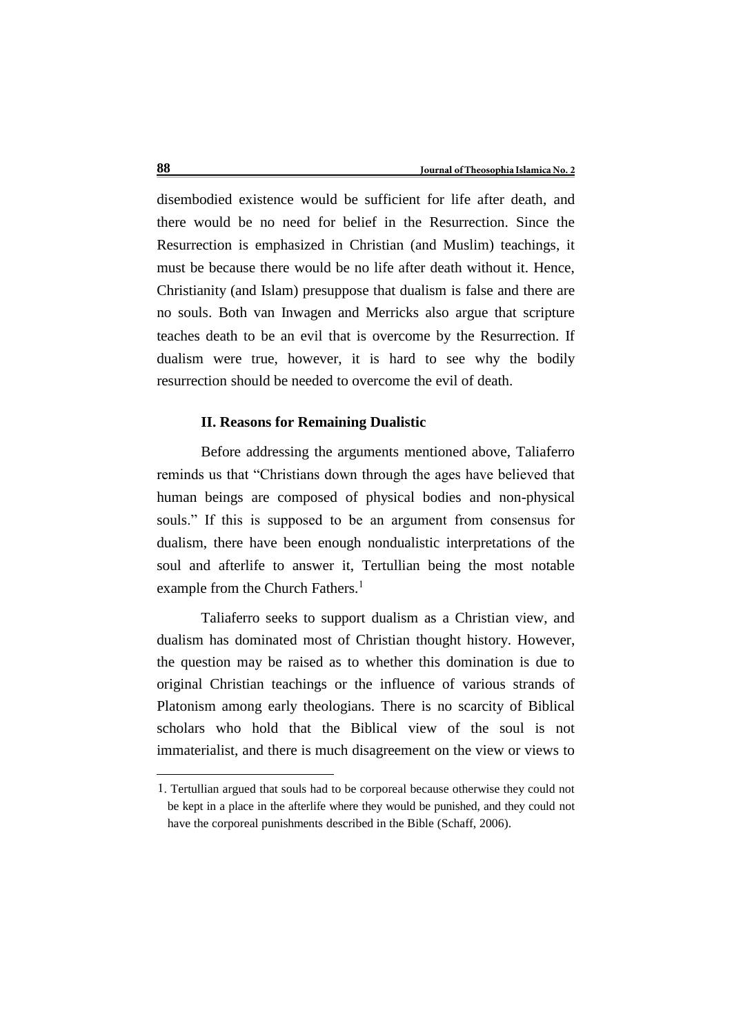disembodied existence would be sufficient for life after death, and there would be no need for belief in the Resurrection. Since the Resurrection is emphasized in Christian (and Muslim) teachings, it must be because there would be no life after death without it. Hence, Christianity (and Islam) presuppose that dualism is false and there are no souls. Both van Inwagen and Merricks also argue that scripture teaches death to be an evil that is overcome by the Resurrection. If dualism were true, however, it is hard to see why the bodily resurrection should be needed to overcome the evil of death.

## **II. Reasons for Remaining Dualistic**

Before addressing the arguments mentioned above, Taliaferro reminds us that "Christians down through the ages have believed that human beings are composed of physical bodies and non-physical souls." If this is supposed to be an argument from consensus for dualism, there have been enough nondualistic interpretations of the soul and afterlife to answer it, Tertullian being the most notable example from the Church Fathers.<sup>1</sup>

Taliaferro seeks to support dualism as a Christian view, and dualism has dominated most of Christian thought history. However, the question may be raised as to whether this domination is due to original Christian teachings or the influence of various strands of Platonism among early theologians. There is no scarcity of Biblical scholars who hold that the Biblical view of the soul is not immaterialist, and there is much disagreement on the view or views to

<u>.</u>

<sup>1</sup>. Tertullian argued that souls had to be corporeal because otherwise they could not be kept in a place in the afterlife where they would be punished, and they could not have the corporeal punishments described in the Bible (Schaff, 2006).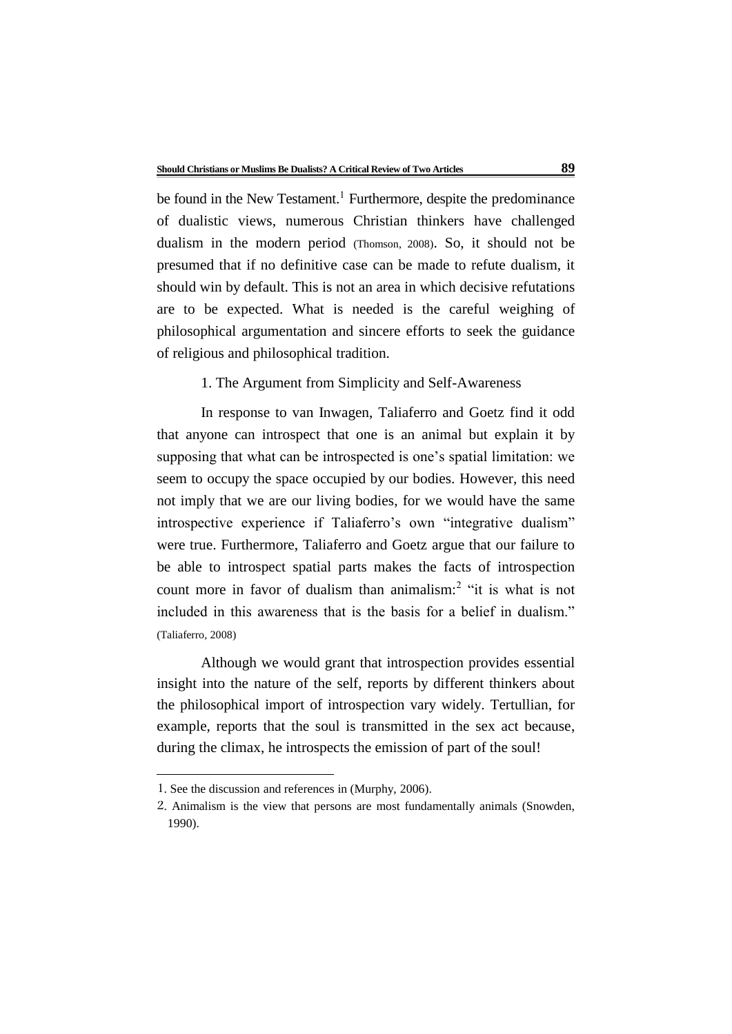be found in the New Testament.<sup>1</sup> Furthermore, despite the predominance of dualistic views, numerous Christian thinkers have challenged dualism in the modern period (Thomson, 2008). So, it should not be presumed that if no definitive case can be made to refute dualism, it should win by default. This is not an area in which decisive refutations are to be expected. What is needed is the careful weighing of philosophical argumentation and sincere efforts to seek the guidance of religious and philosophical tradition.

1. The Argument from Simplicity and Self-Awareness

In response to van Inwagen, Taliaferro and Goetz find it odd that anyone can introspect that one is an animal but explain it by supposing that what can be introspected is one's spatial limitation: we seem to occupy the space occupied by our bodies. However, this need not imply that we are our living bodies, for we would have the same introspective experience if Taliaferro's own "integrative dualism" were true. Furthermore, Taliaferro and Goetz argue that our failure to be able to introspect spatial parts makes the facts of introspection count more in favor of dualism than animalism:<sup>2</sup> "it is what is not included in this awareness that is the basis for a belief in dualism." (Taliaferro, 2008)

Although we would grant that introspection provides essential insight into the nature of the self, reports by different thinkers about the philosophical import of introspection vary widely. Tertullian, for example, reports that the soul is transmitted in the sex act because, during the climax, he introspects the emission of part of the soul!

<u>.</u>

<sup>1</sup>. See the discussion and references in (Murphy, 2006).

<sup>2</sup>. Animalism is the view that persons are most fundamentally animals (Snowden, 1990).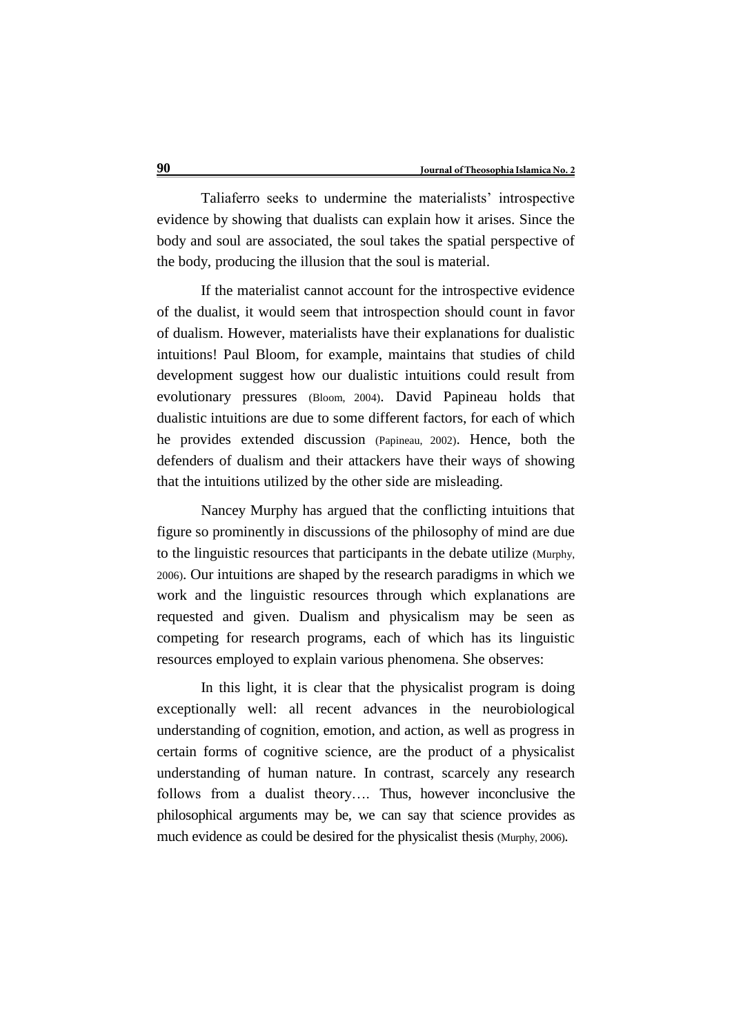Taliaferro seeks to undermine the materialists' introspective evidence by showing that dualists can explain how it arises. Since the body and soul are associated, the soul takes the spatial perspective of the body, producing the illusion that the soul is material.

If the materialist cannot account for the introspective evidence of the dualist, it would seem that introspection should count in favor of dualism. However, materialists have their explanations for dualistic intuitions! Paul Bloom, for example, maintains that studies of child development suggest how our dualistic intuitions could result from evolutionary pressures (Bloom, 2004). David Papineau holds that dualistic intuitions are due to some different factors, for each of which he provides extended discussion (Papineau, 2002). Hence, both the defenders of dualism and their attackers have their ways of showing that the intuitions utilized by the other side are misleading.

Nancey Murphy has argued that the conflicting intuitions that figure so prominently in discussions of the philosophy of mind are due to the linguistic resources that participants in the debate utilize (Murphy, 2006). Our intuitions are shaped by the research paradigms in which we work and the linguistic resources through which explanations are requested and given. Dualism and physicalism may be seen as competing for research programs, each of which has its linguistic resources employed to explain various phenomena. She observes:

In this light, it is clear that the physicalist program is doing exceptionally well: all recent advances in the neurobiological understanding of cognition, emotion, and action, as well as progress in certain forms of cognitive science, are the product of a physicalist understanding of human nature. In contrast, scarcely any research follows from a dualist theory…. Thus, however inconclusive the philosophical arguments may be, we can say that science provides as much evidence as could be desired for the physicalist thesis (Murphy, 2006).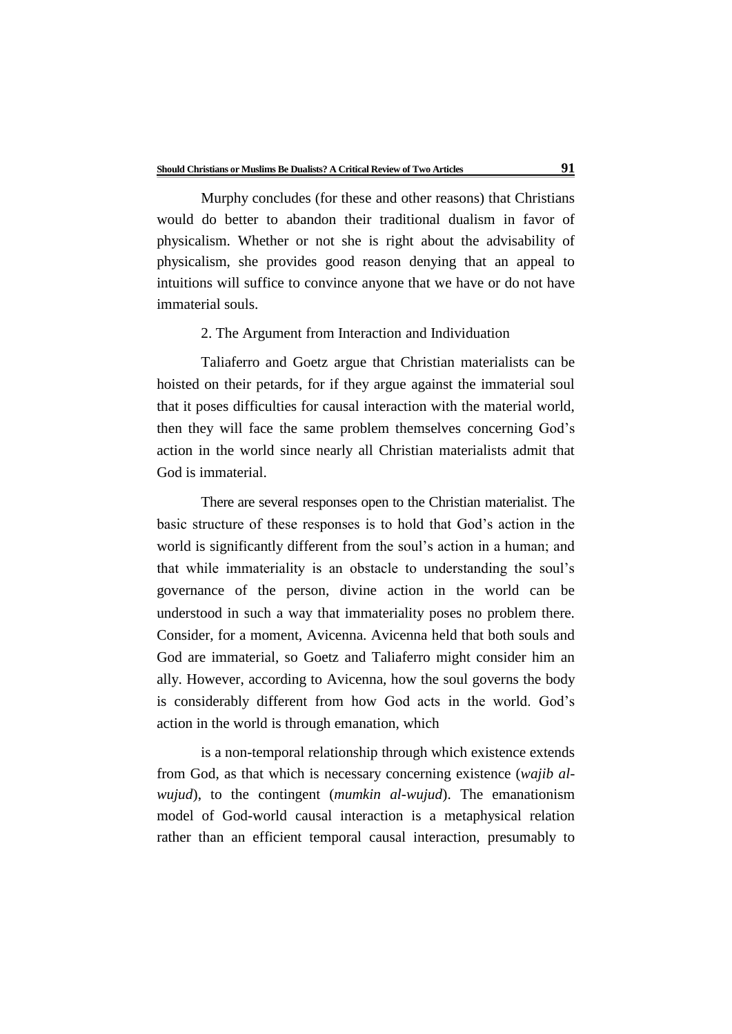Murphy concludes (for these and other reasons) that Christians would do better to abandon their traditional dualism in favor of physicalism. Whether or not she is right about the advisability of physicalism, she provides good reason denying that an appeal to intuitions will suffice to convince anyone that we have or do not have immaterial souls.

## 2. The Argument from Interaction and Individuation

Taliaferro and Goetz argue that Christian materialists can be hoisted on their petards, for if they argue against the immaterial soul that it poses difficulties for causal interaction with the material world, then they will face the same problem themselves concerning God's action in the world since nearly all Christian materialists admit that God is immaterial.

There are several responses open to the Christian materialist. The basic structure of these responses is to hold that God's action in the world is significantly different from the soul's action in a human; and that while immateriality is an obstacle to understanding the soul's governance of the person, divine action in the world can be understood in such a way that immateriality poses no problem there. Consider, for a moment, Avicenna. Avicenna held that both souls and God are immaterial, so Goetz and Taliaferro might consider him an ally. However, according to Avicenna, how the soul governs the body is considerably different from how God acts in the world. God's action in the world is through emanation, which

is a non-temporal relationship through which existence extends from God, as that which is necessary concerning existence (*wajib alwujud*), to the contingent (*mumkin al-wujud*). The emanationism model of God-world causal interaction is a metaphysical relation rather than an efficient temporal causal interaction, presumably to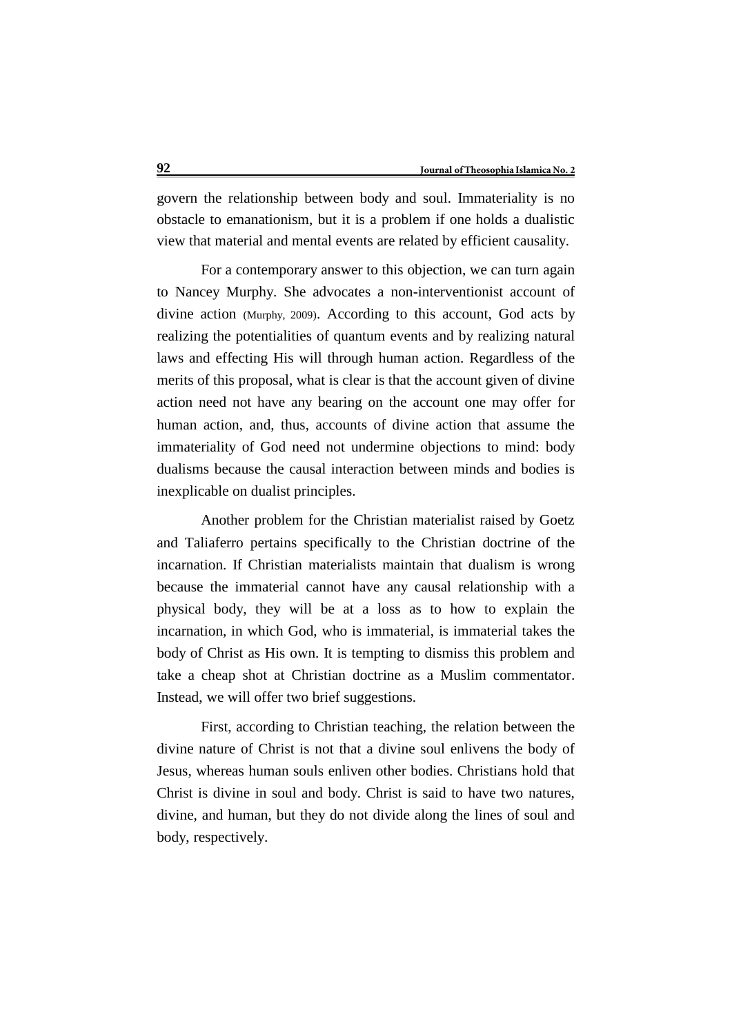govern the relationship between body and soul. Immateriality is no obstacle to emanationism, but it is a problem if one holds a dualistic view that material and mental events are related by efficient causality.

For a contemporary answer to this objection, we can turn again to Nancey Murphy. She advocates a non-interventionist account of divine action (Murphy, 2009). According to this account, God acts by realizing the potentialities of quantum events and by realizing natural laws and effecting His will through human action. Regardless of the merits of this proposal, what is clear is that the account given of divine action need not have any bearing on the account one may offer for human action, and, thus, accounts of divine action that assume the immateriality of God need not undermine objections to mind: body dualisms because the causal interaction between minds and bodies is inexplicable on dualist principles.

Another problem for the Christian materialist raised by Goetz and Taliaferro pertains specifically to the Christian doctrine of the incarnation. If Christian materialists maintain that dualism is wrong because the immaterial cannot have any causal relationship with a physical body, they will be at a loss as to how to explain the incarnation, in which God, who is immaterial, is immaterial takes the body of Christ as His own. It is tempting to dismiss this problem and take a cheap shot at Christian doctrine as a Muslim commentator. Instead, we will offer two brief suggestions.

First, according to Christian teaching, the relation between the divine nature of Christ is not that a divine soul enlivens the body of Jesus, whereas human souls enliven other bodies. Christians hold that Christ is divine in soul and body. Christ is said to have two natures, divine, and human, but they do not divide along the lines of soul and body, respectively.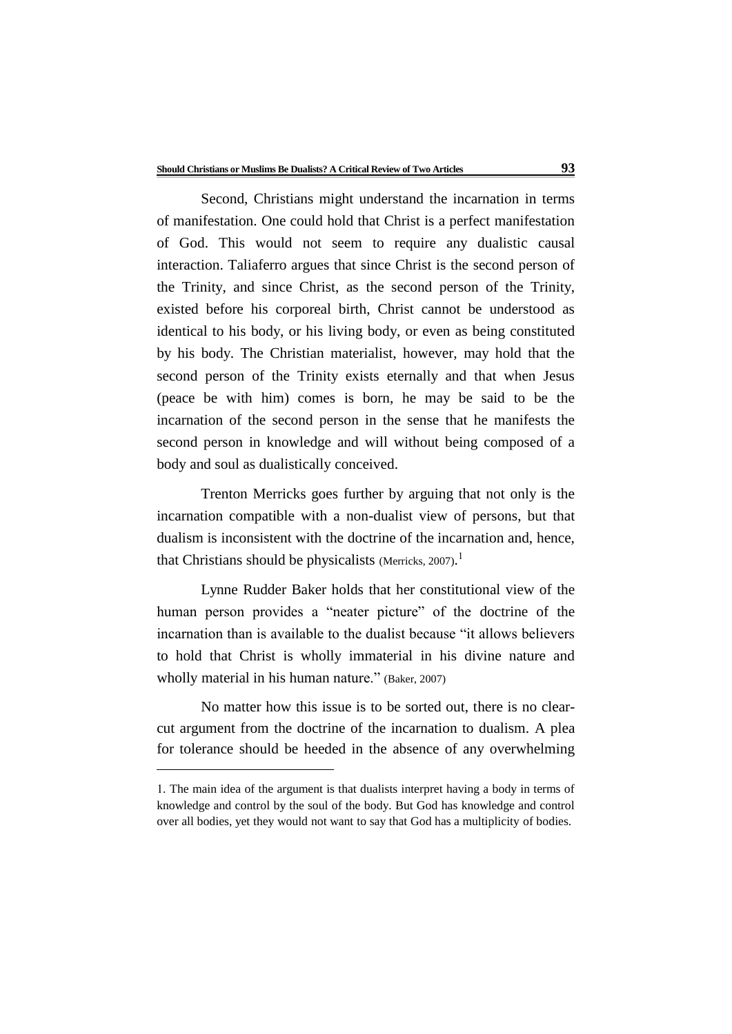Second, Christians might understand the incarnation in terms of manifestation. One could hold that Christ is a perfect manifestation of God. This would not seem to require any dualistic causal interaction. Taliaferro argues that since Christ is the second person of the Trinity, and since Christ, as the second person of the Trinity, existed before his corporeal birth, Christ cannot be understood as identical to his body, or his living body, or even as being constituted by his body. The Christian materialist, however, may hold that the second person of the Trinity exists eternally and that when Jesus (peace be with him) comes is born, he may be said to be the incarnation of the second person in the sense that he manifests the second person in knowledge and will without being composed of a body and soul as dualistically conceived.

Trenton Merricks goes further by arguing that not only is the incarnation compatible with a non-dualist view of persons, but that dualism is inconsistent with the doctrine of the incarnation and, hence, that Christians should be physicalists (Merricks, 2007).<sup>1</sup>

Lynne Rudder Baker holds that her constitutional view of the human person provides a "neater picture" of the doctrine of the incarnation than is available to the dualist because "it allows believers to hold that Christ is wholly immaterial in his divine nature and wholly material in his human nature." (Baker, 2007)

No matter how this issue is to be sorted out, there is no clearcut argument from the doctrine of the incarnation to dualism. A plea for tolerance should be heeded in the absence of any overwhelming

<u>.</u>

<sup>1.</sup> The main idea of the argument is that dualists interpret having a body in terms of knowledge and control by the soul of the body. But God has knowledge and control over all bodies, yet they would not want to say that God has a multiplicity of bodies.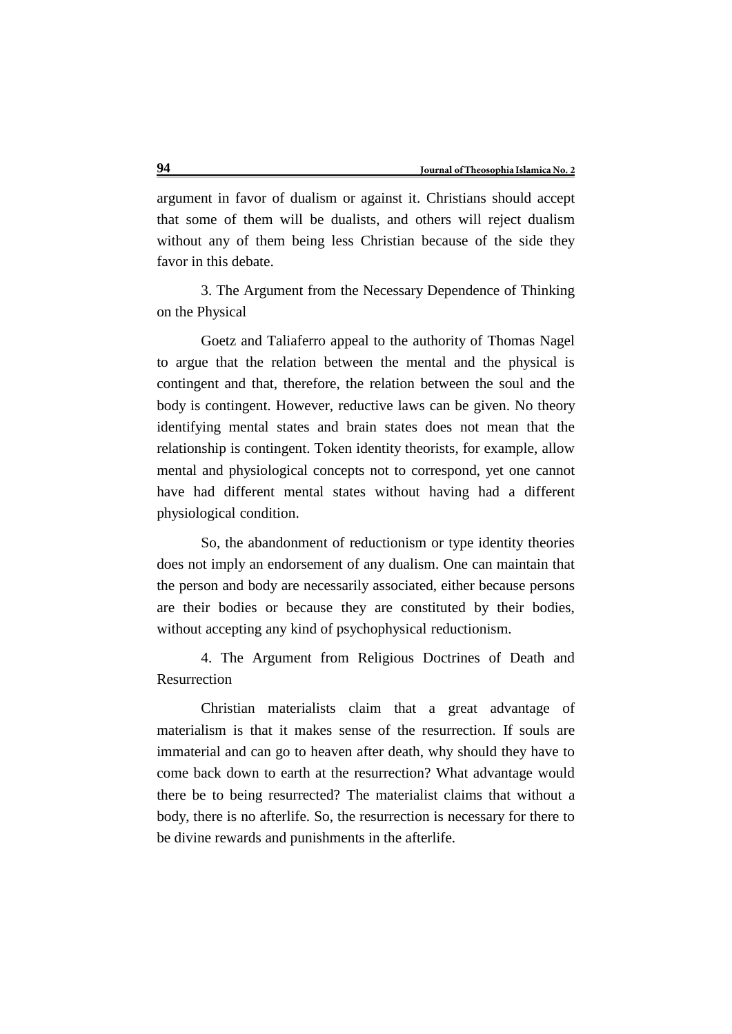argument in favor of dualism or against it. Christians should accept that some of them will be dualists, and others will reject dualism without any of them being less Christian because of the side they favor in this debate.

3. The Argument from the Necessary Dependence of Thinking on the Physical

Goetz and Taliaferro appeal to the authority of Thomas Nagel to argue that the relation between the mental and the physical is contingent and that, therefore, the relation between the soul and the body is contingent. However, reductive laws can be given. No theory identifying mental states and brain states does not mean that the relationship is contingent. Token identity theorists, for example, allow mental and physiological concepts not to correspond, yet one cannot have had different mental states without having had a different physiological condition.

So, the abandonment of reductionism or type identity theories does not imply an endorsement of any dualism. One can maintain that the person and body are necessarily associated, either because persons are their bodies or because they are constituted by their bodies, without accepting any kind of psychophysical reductionism.

4. The Argument from Religious Doctrines of Death and Resurrection

Christian materialists claim that a great advantage of materialism is that it makes sense of the resurrection. If souls are immaterial and can go to heaven after death, why should they have to come back down to earth at the resurrection? What advantage would there be to being resurrected? The materialist claims that without a body, there is no afterlife. So, the resurrection is necessary for there to be divine rewards and punishments in the afterlife.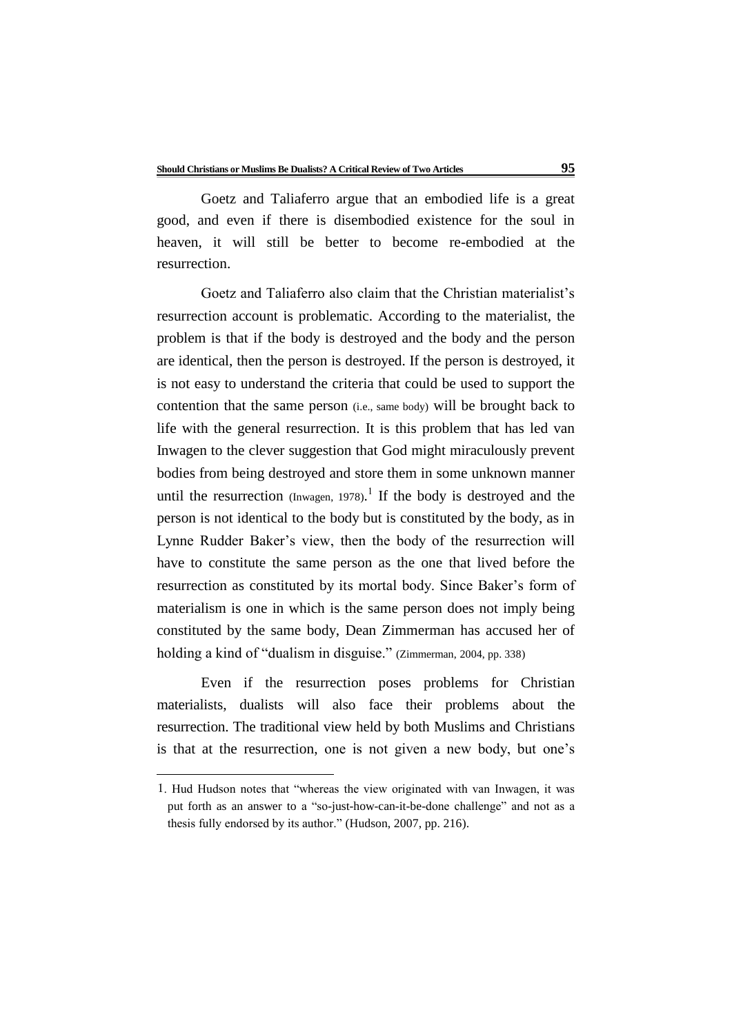Goetz and Taliaferro argue that an embodied life is a great good, and even if there is disembodied existence for the soul in heaven, it will still be better to become re-embodied at the resurrection.

Goetz and Taliaferro also claim that the Christian materialist's resurrection account is problematic. According to the materialist, the problem is that if the body is destroyed and the body and the person are identical, then the person is destroyed. If the person is destroyed, it is not easy to understand the criteria that could be used to support the contention that the same person (i.e., same body) will be brought back to life with the general resurrection. It is this problem that has led van Inwagen to the clever suggestion that God might miraculously prevent bodies from being destroyed and store them in some unknown manner until the resurrection  $\text{(Inwagen, 1978)}$ .<sup>1</sup> If the body is destroyed and the person is not identical to the body but is constituted by the body, as in Lynne Rudder Baker's view, then the body of the resurrection will have to constitute the same person as the one that lived before the resurrection as constituted by its mortal body. Since Baker's form of materialism is one in which is the same person does not imply being constituted by the same body, Dean Zimmerman has accused her of holding a kind of "dualism in disguise." (Zimmerman, 2004, pp. 338)

Even if the resurrection poses problems for Christian materialists, dualists will also face their problems about the resurrection. The traditional view held by both Muslims and Christians is that at the resurrection, one is not given a new body, but one's

<u>.</u>

<sup>1</sup>. Hud Hudson notes that "whereas the view originated with van Inwagen, it was put forth as an answer to a "so-just-how-can-it-be-done challenge" and not as a thesis fully endorsed by its author." (Hudson, 2007, pp. 216).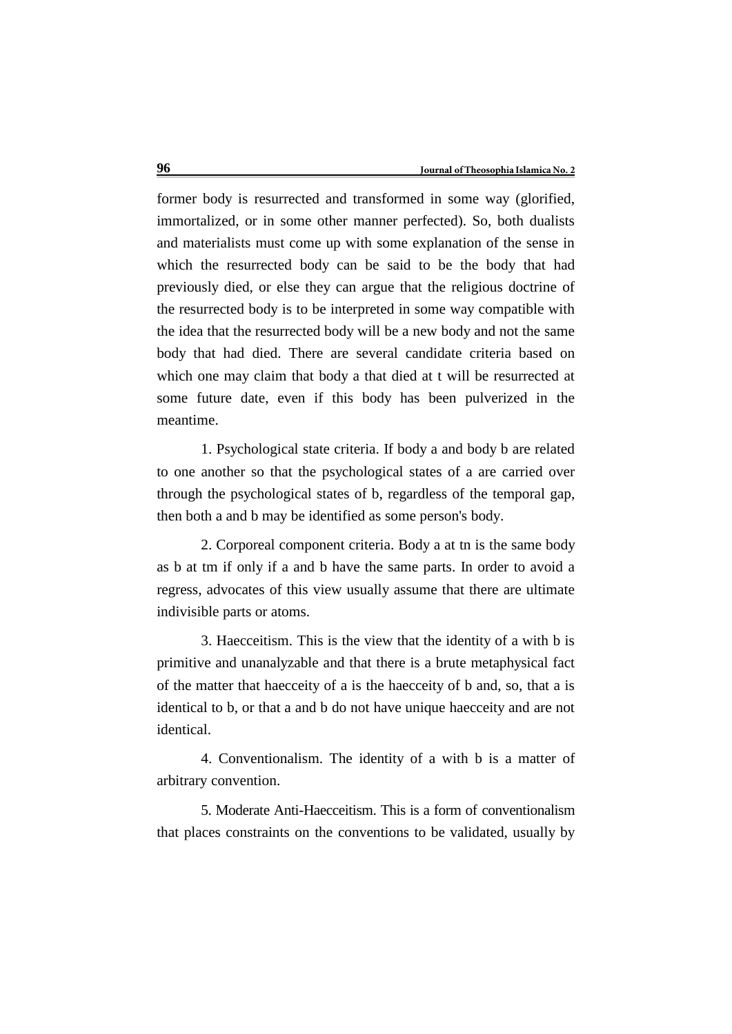former body is resurrected and transformed in some way (glorified, immortalized, or in some other manner perfected). So, both dualists and materialists must come up with some explanation of the sense in which the resurrected body can be said to be the body that had previously died, or else they can argue that the religious doctrine of the resurrected body is to be interpreted in some way compatible with the idea that the resurrected body will be a new body and not the same body that had died. There are several candidate criteria based on which one may claim that body a that died at t will be resurrected at some future date, even if this body has been pulverized in the meantime.

1. Psychological state criteria. If body a and body b are related to one another so that the psychological states of a are carried over through the psychological states of b, regardless of the temporal gap, then both a and b may be identified as some person's body.

2. Corporeal component criteria. Body a at tn is the same body as b at tm if only if a and b have the same parts. In order to avoid a regress, advocates of this view usually assume that there are ultimate indivisible parts or atoms.

3. Haecceitism. This is the view that the identity of a with b is primitive and unanalyzable and that there is a brute metaphysical fact of the matter that haecceity of a is the haecceity of b and, so, that a is identical to b, or that a and b do not have unique haecceity and are not identical.

4. Conventionalism. The identity of a with b is a matter of arbitrary convention.

5. Moderate Anti-Haecceitism. This is a form of conventionalism that places constraints on the conventions to be validated, usually by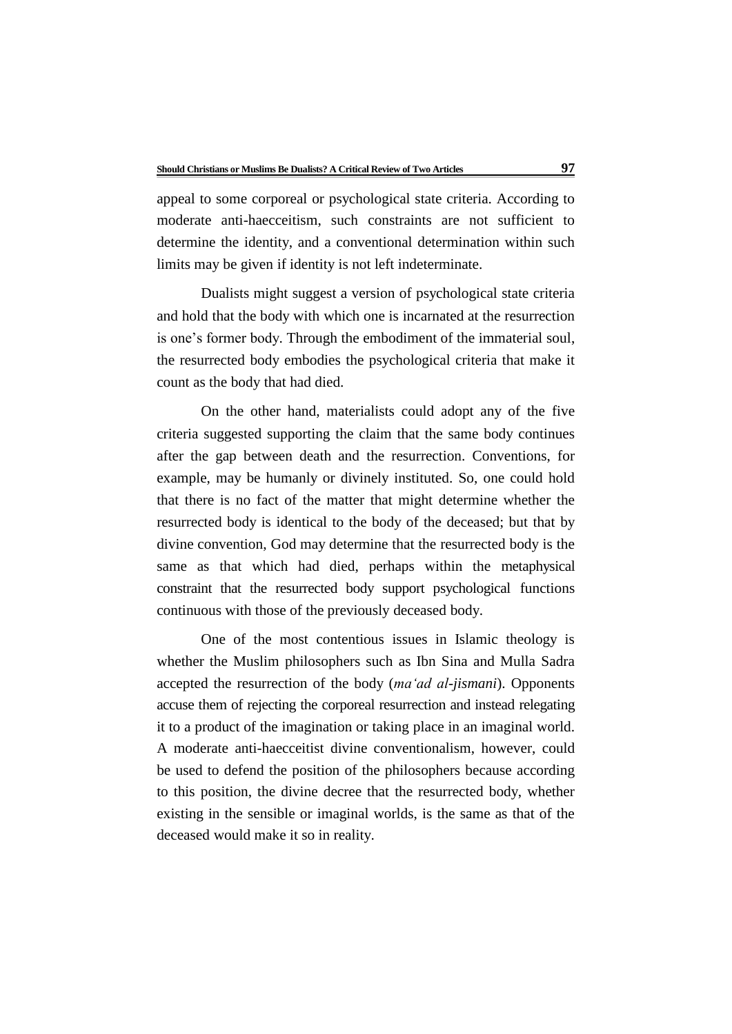appeal to some corporeal or psychological state criteria. According to moderate anti-haecceitism, such constraints are not sufficient to determine the identity, and a conventional determination within such limits may be given if identity is not left indeterminate.

Dualists might suggest a version of psychological state criteria and hold that the body with which one is incarnated at the resurrection is one's former body. Through the embodiment of the immaterial soul, the resurrected body embodies the psychological criteria that make it count as the body that had died.

On the other hand, materialists could adopt any of the five criteria suggested supporting the claim that the same body continues after the gap between death and the resurrection. Conventions, for example, may be humanly or divinely instituted. So, one could hold that there is no fact of the matter that might determine whether the resurrected body is identical to the body of the deceased; but that by divine convention, God may determine that the resurrected body is the same as that which had died, perhaps within the metaphysical constraint that the resurrected body support psychological functions continuous with those of the previously deceased body.

One of the most contentious issues in Islamic theology is whether the Muslim philosophers such as Ibn Sina and Mulla Sadra accepted the resurrection of the body (*ma'ad al-jismani*). Opponents accuse them of rejecting the corporeal resurrection and instead relegating it to a product of the imagination or taking place in an imaginal world. A moderate anti-haecceitist divine conventionalism, however, could be used to defend the position of the philosophers because according to this position, the divine decree that the resurrected body, whether existing in the sensible or imaginal worlds, is the same as that of the deceased would make it so in reality.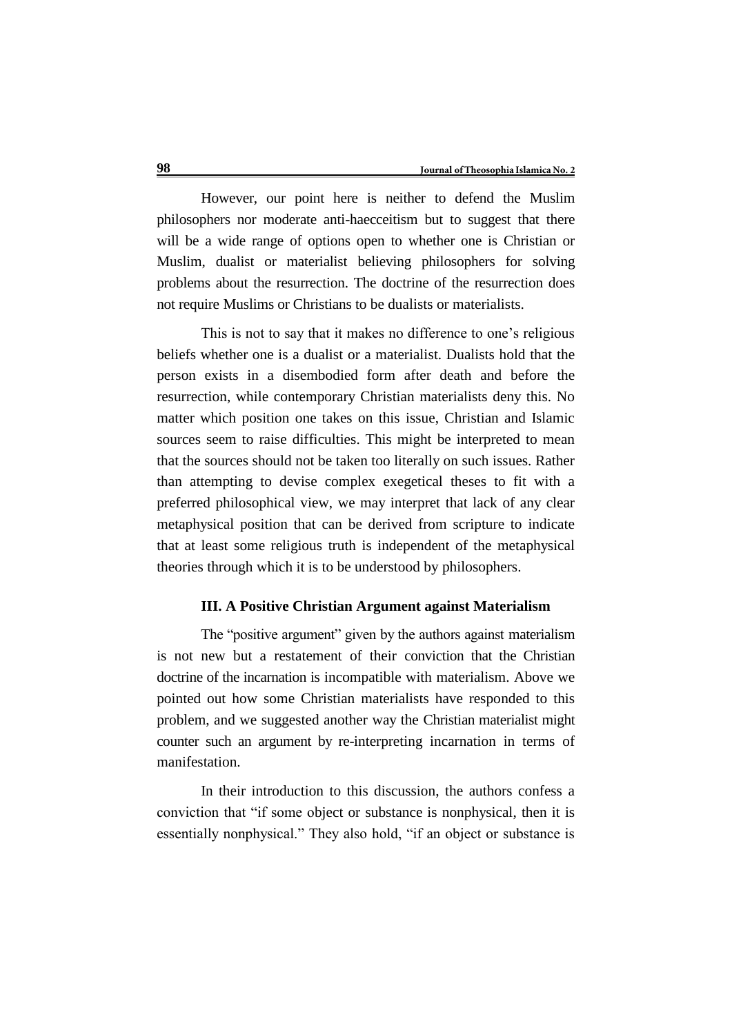However, our point here is neither to defend the Muslim philosophers nor moderate anti-haecceitism but to suggest that there will be a wide range of options open to whether one is Christian or Muslim, dualist or materialist believing philosophers for solving problems about the resurrection. The doctrine of the resurrection does not require Muslims or Christians to be dualists or materialists.

This is not to say that it makes no difference to one's religious beliefs whether one is a dualist or a materialist. Dualists hold that the person exists in a disembodied form after death and before the resurrection, while contemporary Christian materialists deny this. No matter which position one takes on this issue, Christian and Islamic sources seem to raise difficulties. This might be interpreted to mean that the sources should not be taken too literally on such issues. Rather than attempting to devise complex exegetical theses to fit with a preferred philosophical view, we may interpret that lack of any clear metaphysical position that can be derived from scripture to indicate that at least some religious truth is independent of the metaphysical theories through which it is to be understood by philosophers.

#### **III. A Positive Christian Argument against Materialism**

The "positive argument" given by the authors against materialism is not new but a restatement of their conviction that the Christian doctrine of the incarnation is incompatible with materialism. Above we pointed out how some Christian materialists have responded to this problem, and we suggested another way the Christian materialist might counter such an argument by re-interpreting incarnation in terms of manifestation.

In their introduction to this discussion, the authors confess a conviction that "if some object or substance is nonphysical, then it is essentially nonphysical." They also hold, "if an object or substance is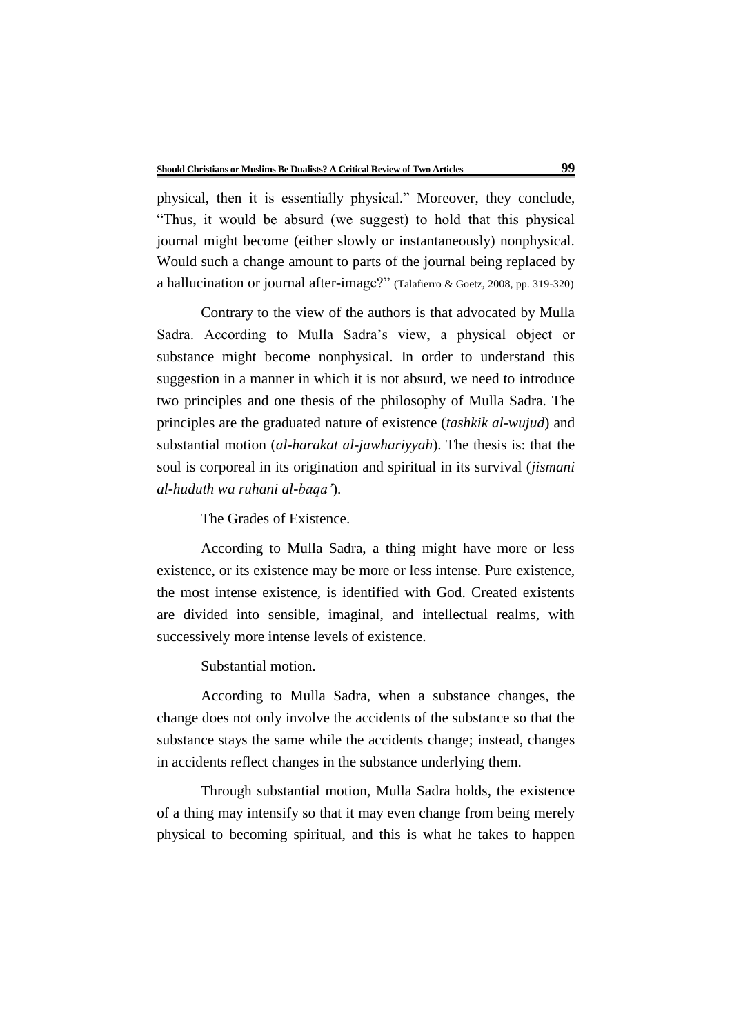physical, then it is essentially physical." Moreover, they conclude, "Thus, it would be absurd (we suggest) to hold that this physical journal might become (either slowly or instantaneously) nonphysical. Would such a change amount to parts of the journal being replaced by a hallucination or journal after-image?" (Talafierro & Goetz, 2008, pp. 319-320)

Contrary to the view of the authors is that advocated by Mulla Sadra. According to Mulla Sadra's view, a physical object or substance might become nonphysical. In order to understand this suggestion in a manner in which it is not absurd, we need to introduce two principles and one thesis of the philosophy of Mulla Sadra. The principles are the graduated nature of existence (*tashkik al-wujud*) and substantial motion (*al-harakat al-jawhariyyah*). The thesis is: that the soul is corporeal in its origination and spiritual in its survival (*jismani al-huduth wa ruhani al-baqa'*).

The Grades of Existence.

According to Mulla Sadra, a thing might have more or less existence, or its existence may be more or less intense. Pure existence, the most intense existence, is identified with God. Created existents are divided into sensible, imaginal, and intellectual realms, with successively more intense levels of existence.

Substantial motion.

According to Mulla Sadra, when a substance changes, the change does not only involve the accidents of the substance so that the substance stays the same while the accidents change; instead, changes in accidents reflect changes in the substance underlying them.

Through substantial motion, Mulla Sadra holds, the existence of a thing may intensify so that it may even change from being merely physical to becoming spiritual, and this is what he takes to happen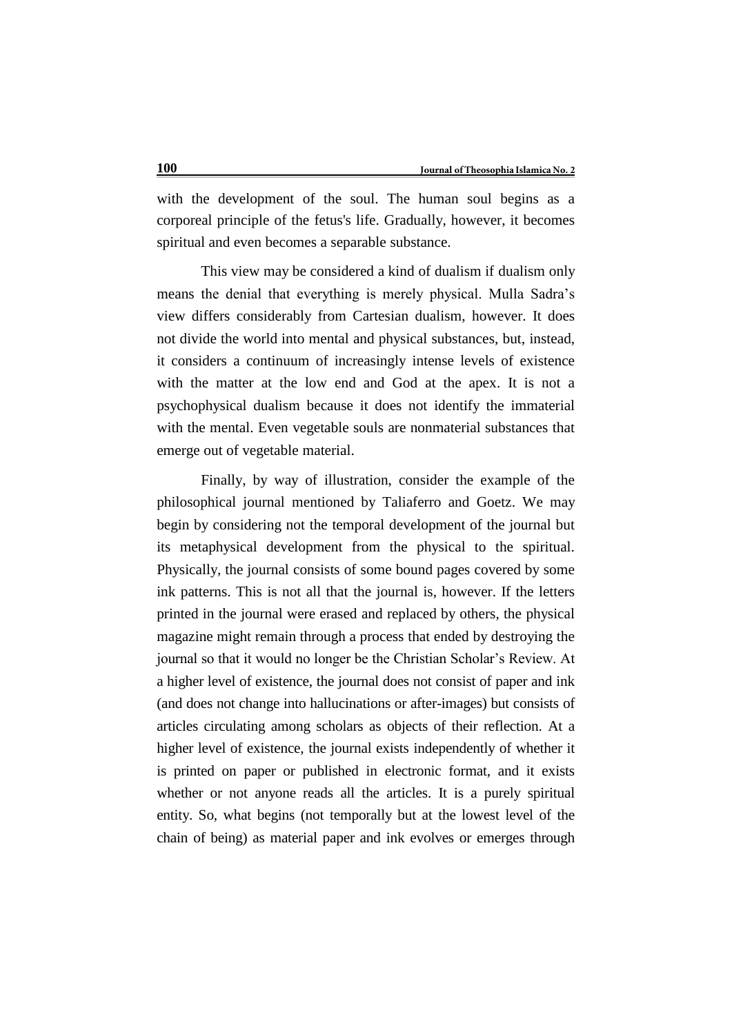with the development of the soul. The human soul begins as a corporeal principle of the fetus's life. Gradually, however, it becomes spiritual and even becomes a separable substance.

This view may be considered a kind of dualism if dualism only means the denial that everything is merely physical. Mulla Sadra's view differs considerably from Cartesian dualism, however. It does not divide the world into mental and physical substances, but, instead, it considers a continuum of increasingly intense levels of existence with the matter at the low end and God at the apex. It is not a psychophysical dualism because it does not identify the immaterial with the mental. Even vegetable souls are nonmaterial substances that emerge out of vegetable material.

Finally, by way of illustration, consider the example of the philosophical journal mentioned by Taliaferro and Goetz. We may begin by considering not the temporal development of the journal but its metaphysical development from the physical to the spiritual. Physically, the journal consists of some bound pages covered by some ink patterns. This is not all that the journal is, however. If the letters printed in the journal were erased and replaced by others, the physical magazine might remain through a process that ended by destroying the journal so that it would no longer be the Christian Scholar's Review. At a higher level of existence, the journal does not consist of paper and ink (and does not change into hallucinations or after-images) but consists of articles circulating among scholars as objects of their reflection. At a higher level of existence, the journal exists independently of whether it is printed on paper or published in electronic format, and it exists whether or not anyone reads all the articles. It is a purely spiritual entity. So, what begins (not temporally but at the lowest level of the chain of being) as material paper and ink evolves or emerges through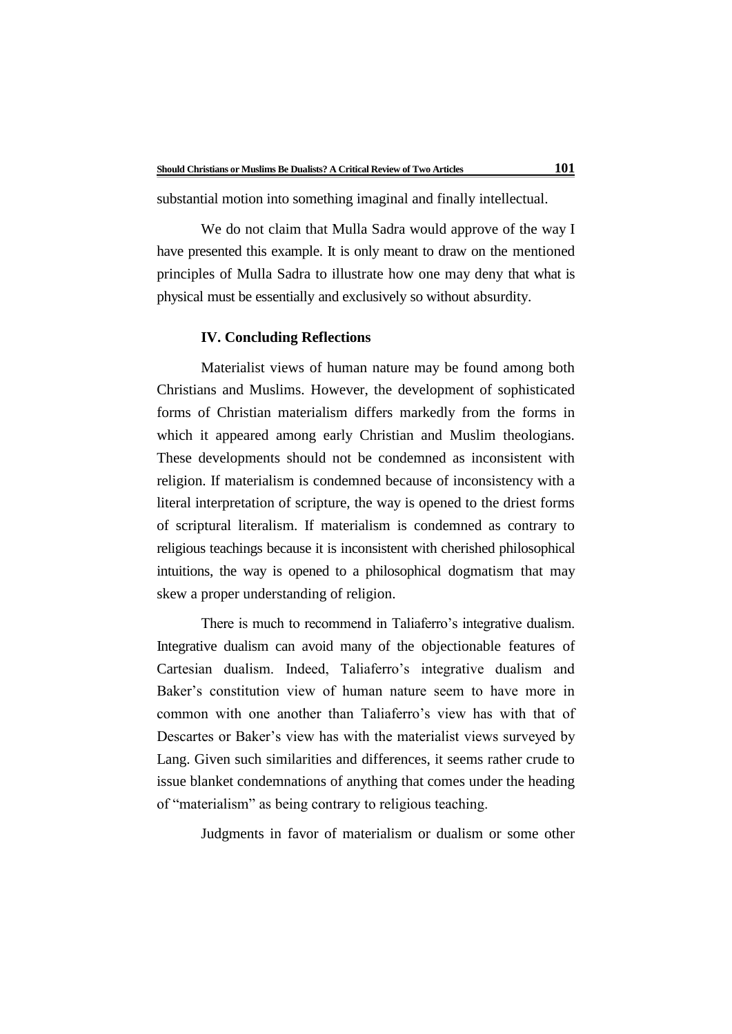substantial motion into something imaginal and finally intellectual.

We do not claim that Mulla Sadra would approve of the way I have presented this example. It is only meant to draw on the mentioned principles of Mulla Sadra to illustrate how one may deny that what is physical must be essentially and exclusively so without absurdity.

#### **IV. Concluding Reflections**

Materialist views of human nature may be found among both Christians and Muslims. However, the development of sophisticated forms of Christian materialism differs markedly from the forms in which it appeared among early Christian and Muslim theologians. These developments should not be condemned as inconsistent with religion. If materialism is condemned because of inconsistency with a literal interpretation of scripture, the way is opened to the driest forms of scriptural literalism. If materialism is condemned as contrary to religious teachings because it is inconsistent with cherished philosophical intuitions, the way is opened to a philosophical dogmatism that may skew a proper understanding of religion.

There is much to recommend in Taliaferro's integrative dualism. Integrative dualism can avoid many of the objectionable features of Cartesian dualism. Indeed, Taliaferro's integrative dualism and Baker's constitution view of human nature seem to have more in common with one another than Taliaferro's view has with that of Descartes or Baker's view has with the materialist views surveyed by Lang. Given such similarities and differences, it seems rather crude to issue blanket condemnations of anything that comes under the heading of "materialism" as being contrary to religious teaching.

Judgments in favor of materialism or dualism or some other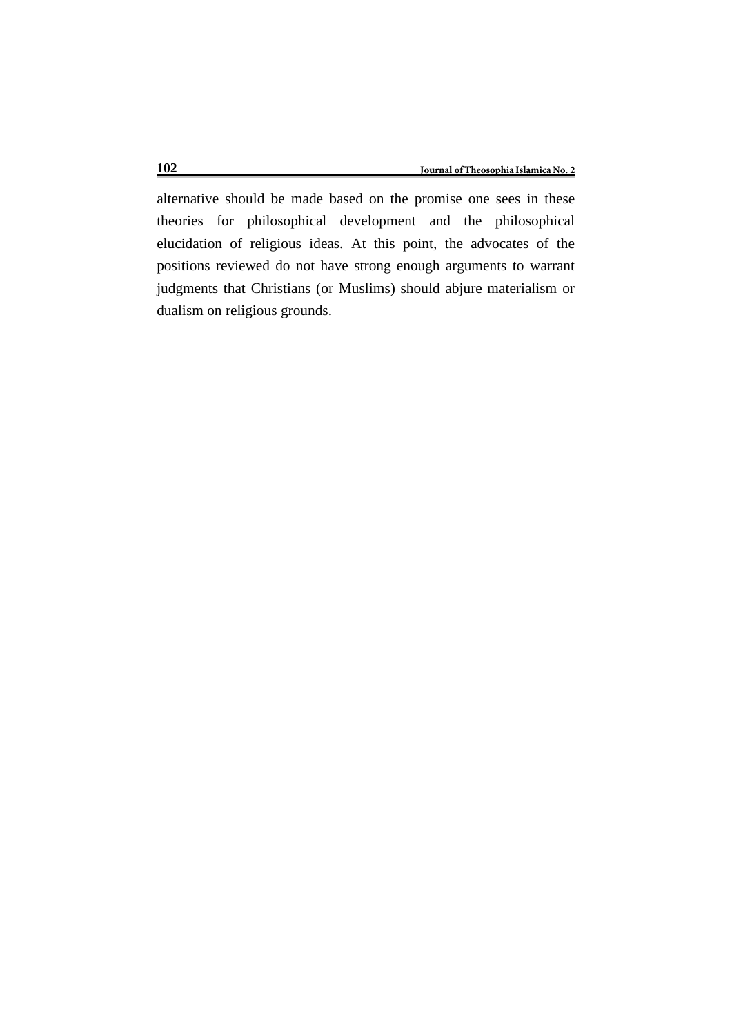alternative should be made based on the promise one sees in these theories for philosophical development and the philosophical elucidation of religious ideas. At this point, the advocates of the positions reviewed do not have strong enough arguments to warrant judgments that Christians (or Muslims) should abjure materialism or dualism on religious grounds.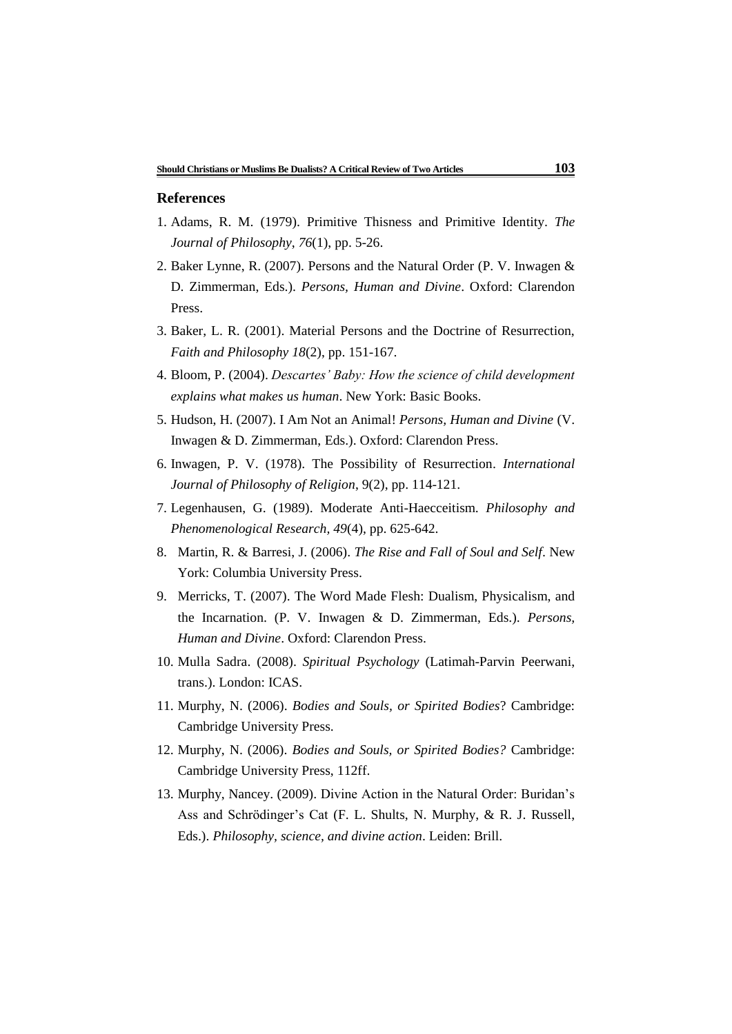#### **References**

- 1. Adams, R. M. (1979). Primitive Thisness and Primitive Identity. *The Journal of Philosophy*, *76*(1), pp. 5-26.
- 2. Baker Lynne, R. (2007). Persons and the Natural Order (P. V. Inwagen & D. Zimmerman, Eds.). *Persons, Human and Divine*. Oxford: Clarendon Press.
- 3. Baker, L. R. (2001). Material Persons and the Doctrine of Resurrection, *Faith and Philosophy 18*(2), pp. 151-167.
- 4. Bloom, P. (2004). *Descartes' Baby: How the science of child development explains what makes us human*. New York: Basic Books.
- 5. Hudson, H. (2007). I Am Not an Animal! *Persons, Human and Divine* (V. Inwagen & D. Zimmerman, Eds.). Oxford: Clarendon Press.
- 6. Inwagen, P. V. (1978). The Possibility of Resurrection. *International Journal of Philosophy of Religion*, 9(2), pp. 114-121.
- 7. Legenhausen, G. (1989). Moderate Anti-Haecceitism. *Philosophy and Phenomenological Research, 49*(4), pp. 625-642.
- 8. Martin, R. & Barresi, J. (2006). *The Rise and Fall of Soul and Self*. New York: Columbia University Press.
- 9. Merricks, T. (2007). The Word Made Flesh: Dualism, Physicalism, and the Incarnation. (P. V. Inwagen & D. Zimmerman, Eds.). *Persons, Human and Divine*. Oxford: Clarendon Press.
- 10. Mulla Sadra. (2008). *Spiritual Psychology* (Latimah-Parvin Peerwani, trans.). London: ICAS.
- 11. Murphy, N. (2006). *Bodies and Souls, or Spirited Bodies*? Cambridge: Cambridge University Press.
- 12. Murphy, N. (2006). *Bodies and Souls, or Spirited Bodies?* Cambridge: Cambridge University Press, 112ff.
- 13. Murphy, Nancey. (2009). Divine Action in the Natural Order: Buridan's Ass and Schrödinger's Cat (F. L. Shults, N. Murphy, & R. J. Russell, Eds.). *Philosophy, science, and divine action*. Leiden: Brill.